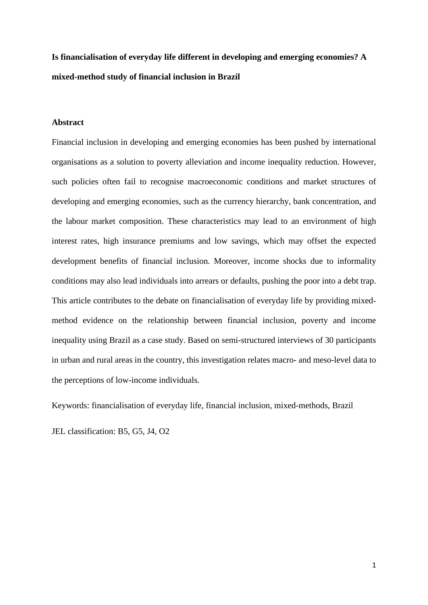**Is financialisation of everyday life different in developing and emerging economies? A mixed-method study of financial inclusion in Brazil**

## **Abstract**

Financial inclusion in developing and emerging economies has been pushed by international organisations as a solution to poverty alleviation and income inequality reduction. However, such policies often fail to recognise macroeconomic conditions and market structures of developing and emerging economies, such as the currency hierarchy, bank concentration, and the labour market composition. These characteristics may lead to an environment of high interest rates, high insurance premiums and low savings, which may offset the expected development benefits of financial inclusion. Moreover, income shocks due to informality conditions may also lead individuals into arrears or defaults, pushing the poor into a debt trap. This article contributes to the debate on financialisation of everyday life by providing mixedmethod evidence on the relationship between financial inclusion, poverty and income inequality using Brazil as a case study. Based on semi-structured interviews of 30 participants in urban and rural areas in the country, this investigation relates macro- and meso-level data to the perceptions of low-income individuals.

Keywords: financialisation of everyday life, financial inclusion, mixed-methods, Brazil

JEL classification: B5, G5, J4, O2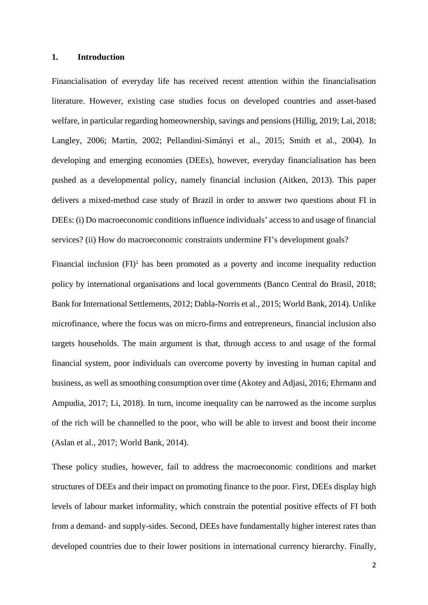#### **1. Introduction**

Financialisation of everyday life has received recent attention within the financialisation literature. However, existing case studies focus on developed countries and asset-based welfare, in particular regarding homeownership, savings and pensions (Hillig, 2019; Lai, 2018; Langley, 2006; Martin, 2002; Pellandini-Simányi et al., 2015; Smith et al., 2004). In developing and emerging economies (DEEs), however, everyday financialisation has been pushed as a developmental policy, namely financial inclusion (Aitken, 2013). This paper delivers a mixed-method case study of Brazil in order to answer two questions about FI in DEEs: (i) Do macroeconomic conditions influence individuals' access to and usage of financial services? (ii) How do macroeconomic constraints undermine FI's development goals?

Financial inclusion  $(FI)^1$  has been promoted as a poverty and income inequality reduction policy by international organisations and local governments (Banco Central do Brasil, 2018; Bank for International Settlements, 2012; Dabla-Norris et al., 2015; World Bank, 2014). Unlike microfinance, where the focus was on micro-firms and entrepreneurs, financial inclusion also targets households. The main argument is that, through access to and usage of the formal financial system, poor individuals can overcome poverty by investing in human capital and business, as well as smoothing consumption over time (Akotey and Adjasi, 2016; Ehrmann and Ampudia, 2017; Li, 2018). In turn, income inequality can be narrowed as the income surplus of the rich will be channelled to the poor, who will be able to invest and boost their income (Aslan et al., 2017; World Bank, 2014).

These policy studies, however, fail to address the macroeconomic conditions and market structures of DEEs and their impact on promoting finance to the poor. First, DEEs display high levels of labour market informality, which constrain the potential positive effects of FI both from a demand- and supply-sides. Second, DEEs have fundamentally higher interest rates than developed countries due to their lower positions in international currency hierarchy. Finally,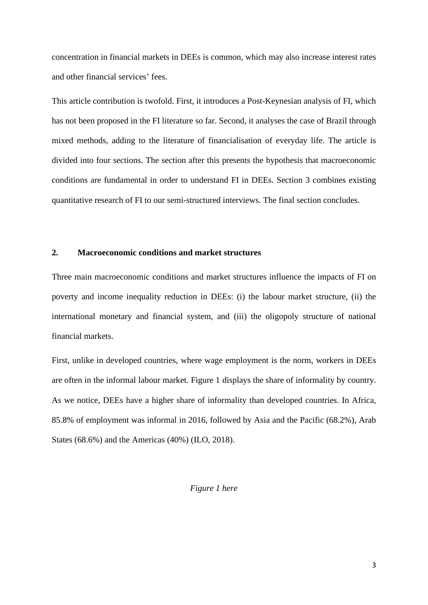concentration in financial markets in DEEs is common, which may also increase interest rates and other financial services' fees.

This article contribution is twofold. First, it introduces a Post-Keynesian analysis of FI, which has not been proposed in the FI literature so far. Second, it analyses the case of Brazil through mixed methods, adding to the literature of financialisation of everyday life. The article is divided into four sections. The section after this presents the hypothesis that macroeconomic conditions are fundamental in order to understand FI in DEEs. Section 3 combines existing quantitative research of FI to our semi-structured interviews. The final section concludes.

#### **2. Macroeconomic conditions and market structures**

Three main macroeconomic conditions and market structures influence the impacts of FI on poverty and income inequality reduction in DEEs: (i) the labour market structure, (ii) the international monetary and financial system, and (iii) the oligopoly structure of national financial markets.

First, unlike in developed countries, where wage employment is the norm, workers in DEEs are often in the informal labour market. Figure 1 displays the share of informality by country. As we notice, DEEs have a higher share of informality than developed countries. In Africa, 85.8% of employment was informal in 2016, followed by Asia and the Pacific (68.2%), Arab States (68.6%) and the Americas (40%) (ILO, 2018).

## *Figure 1 here*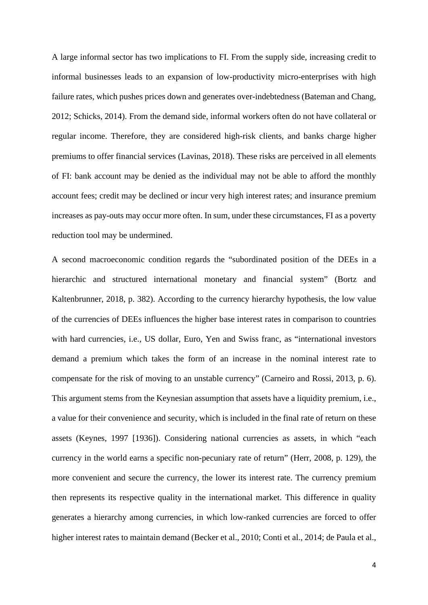A large informal sector has two implications to FI. From the supply side, increasing credit to informal businesses leads to an expansion of low-productivity micro-enterprises with high failure rates, which pushes prices down and generates over-indebtedness (Bateman and Chang, 2012; Schicks, 2014). From the demand side, informal workers often do not have collateral or regular income. Therefore, they are considered high-risk clients, and banks charge higher premiums to offer financial services (Lavinas, 2018). These risks are perceived in all elements of FI: bank account may be denied as the individual may not be able to afford the monthly account fees; credit may be declined or incur very high interest rates; and insurance premium increases as pay-outs may occur more often. In sum, under these circumstances, FI as a poverty reduction tool may be undermined.

A second macroeconomic condition regards the "subordinated position of the DEEs in a hierarchic and structured international monetary and financial system" (Bortz and Kaltenbrunner, 2018, p. 382). According to the currency hierarchy hypothesis, the low value of the currencies of DEEs influences the higher base interest rates in comparison to countries with hard currencies, i.e., US dollar, Euro, Yen and Swiss franc, as "international investors demand a premium which takes the form of an increase in the nominal interest rate to compensate for the risk of moving to an unstable currency" (Carneiro and Rossi, 2013, p. 6). This argument stems from the Keynesian assumption that assets have a liquidity premium, i.e., a value for their convenience and security, which is included in the final rate of return on these assets (Keynes, 1997 [1936]). Considering national currencies as assets, in which "each currency in the world earns a specific non-pecuniary rate of return" (Herr, 2008, p. 129), the more convenient and secure the currency, the lower its interest rate. The currency premium then represents its respective quality in the international market. This difference in quality generates a hierarchy among currencies, in which low-ranked currencies are forced to offer higher interest rates to maintain demand (Becker et al., 2010; Conti et al., 2014; de Paula et al.,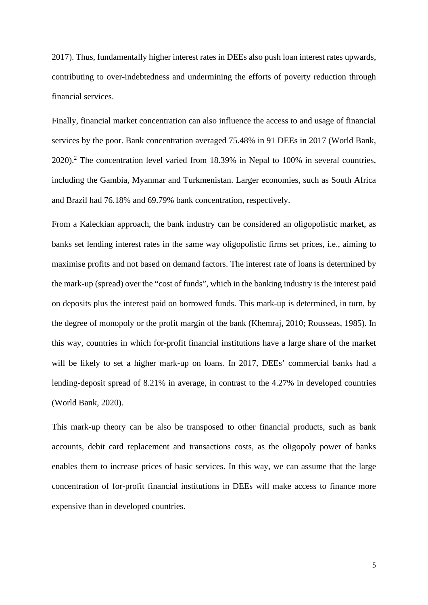2017). Thus, fundamentally higher interest rates in DEEs also push loan interest rates upwards, contributing to over-indebtedness and undermining the efforts of poverty reduction through financial services.

Finally, financial market concentration can also influence the access to and usage of financial services by the poor. Bank concentration averaged 75.48% in 91 DEEs in 2017 (World Bank, 2020). <sup>2</sup> The concentration level varied from 18.39% in Nepal to 100% in several countries, including the Gambia, Myanmar and Turkmenistan. Larger economies, such as South Africa and Brazil had 76.18% and 69.79% bank concentration, respectively.

From a Kaleckian approach, the bank industry can be considered an oligopolistic market, as banks set lending interest rates in the same way oligopolistic firms set prices, i.e., aiming to maximise profits and not based on demand factors. The interest rate of loans is determined by the mark-up (spread) over the "cost of funds", which in the banking industry is the interest paid on deposits plus the interest paid on borrowed funds. This mark-up is determined, in turn, by the degree of monopoly or the profit margin of the bank (Khemraj, 2010; Rousseas, 1985). In this way, countries in which for-profit financial institutions have a large share of the market will be likely to set a higher mark-up on loans. In 2017, DEEs' commercial banks had a lending-deposit spread of 8.21% in average, in contrast to the 4.27% in developed countries (World Bank, 2020).

This mark-up theory can be also be transposed to other financial products, such as bank accounts, debit card replacement and transactions costs, as the oligopoly power of banks enables them to increase prices of basic services. In this way, we can assume that the large concentration of for-profit financial institutions in DEEs will make access to finance more expensive than in developed countries.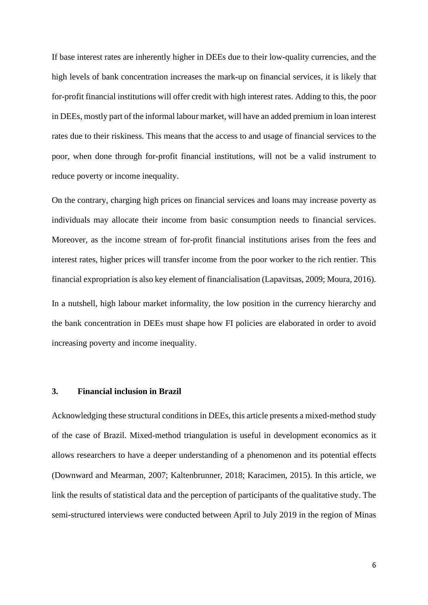If base interest rates are inherently higher in DEEs due to their low-quality currencies, and the high levels of bank concentration increases the mark-up on financial services, it is likely that for-profit financial institutions will offer credit with high interest rates. Adding to this, the poor in DEEs, mostly part of the informal labour market, will have an added premium in loan interest rates due to their riskiness. This means that the access to and usage of financial services to the poor, when done through for-profit financial institutions, will not be a valid instrument to reduce poverty or income inequality.

On the contrary, charging high prices on financial services and loans may increase poverty as individuals may allocate their income from basic consumption needs to financial services. Moreover, as the income stream of for-profit financial institutions arises from the fees and interest rates, higher prices will transfer income from the poor worker to the rich rentier. This financial expropriation is also key element of financialisation (Lapavitsas, 2009; Moura, 2016). In a nutshell, high labour market informality, the low position in the currency hierarchy and the bank concentration in DEEs must shape how FI policies are elaborated in order to avoid increasing poverty and income inequality.

## **3. Financial inclusion in Brazil**

Acknowledging these structural conditions in DEEs, this article presents a mixed-method study of the case of Brazil. Mixed-method triangulation is useful in development economics as it allows researchers to have a deeper understanding of a phenomenon and its potential effects (Downward and Mearman, 2007; Kaltenbrunner, 2018; Karacimen, 2015). In this article, we link the results of statistical data and the perception of participants of the qualitative study. The semi-structured interviews were conducted between April to July 2019 in the region of Minas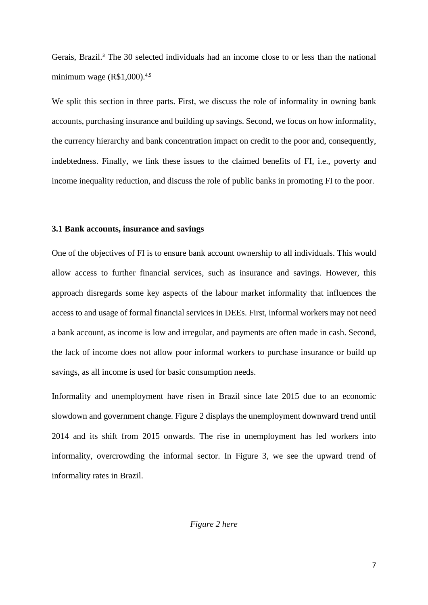Gerais, Brazil. <sup>3</sup> The 30 selected individuals had an income close to or less than the national minimum wage (R\$1,000). 4,5

We split this section in three parts. First, we discuss the role of informality in owning bank accounts, purchasing insurance and building up savings. Second, we focus on how informality, the currency hierarchy and bank concentration impact on credit to the poor and, consequently, indebtedness. Finally, we link these issues to the claimed benefits of FI, i.e., poverty and income inequality reduction, and discuss the role of public banks in promoting FI to the poor.

#### **3.1 Bank accounts, insurance and savings**

One of the objectives of FI is to ensure bank account ownership to all individuals. This would allow access to further financial services, such as insurance and savings. However, this approach disregards some key aspects of the labour market informality that influences the access to and usage of formal financial services in DEEs. First, informal workers may not need a bank account, as income is low and irregular, and payments are often made in cash. Second, the lack of income does not allow poor informal workers to purchase insurance or build up savings, as all income is used for basic consumption needs.

Informality and unemployment have risen in Brazil since late 2015 due to an economic slowdown and government change. Figure 2 displays the unemployment downward trend until 2014 and its shift from 2015 onwards. The rise in unemployment has led workers into informality, overcrowding the informal sector. In Figure 3, we see the upward trend of informality rates in Brazil.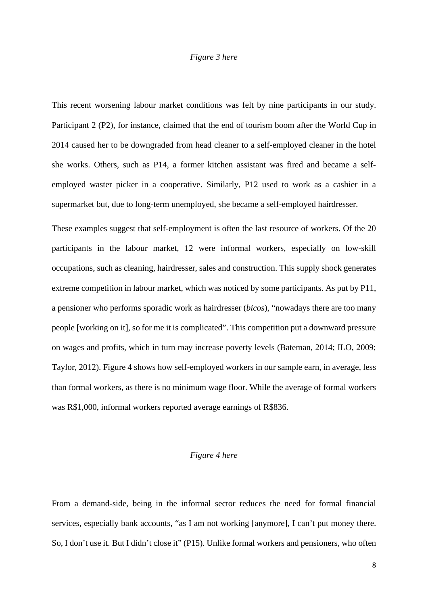## *Figure 3 here*

This recent worsening labour market conditions was felt by nine participants in our study. Participant 2 (P2), for instance, claimed that the end of tourism boom after the World Cup in 2014 caused her to be downgraded from head cleaner to a self-employed cleaner in the hotel she works. Others, such as P14, a former kitchen assistant was fired and became a selfemployed waster picker in a cooperative. Similarly, P12 used to work as a cashier in a supermarket but, due to long-term unemployed, she became a self-employed hairdresser.

These examples suggest that self-employment is often the last resource of workers. Of the 20 participants in the labour market, 12 were informal workers, especially on low-skill occupations, such as cleaning, hairdresser, sales and construction. This supply shock generates extreme competition in labour market, which was noticed by some participants. As put by P11, a pensioner who performs sporadic work as hairdresser (*bicos*), "nowadays there are too many people [working on it], so for me it is complicated". This competition put a downward pressure on wages and profits, which in turn may increase poverty levels (Bateman, 2014; ILO, 2009; Taylor, 2012). Figure 4 shows how self-employed workers in our sample earn, in average, less than formal workers, as there is no minimum wage floor. While the average of formal workers was R\$1,000, informal workers reported average earnings of R\$836.

## *Figure 4 here*

From a demand-side, being in the informal sector reduces the need for formal financial services, especially bank accounts, "as I am not working [anymore], I can't put money there. So, I don't use it. But I didn't close it" (P15). Unlike formal workers and pensioners, who often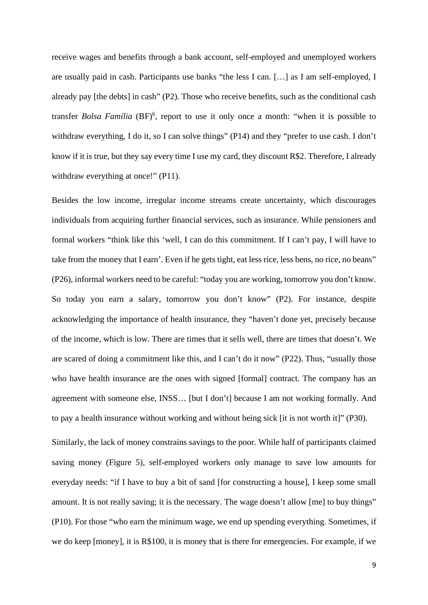receive wages and benefits through a bank account, self-employed and unemployed workers are usually paid in cash. Participants use banks "the less I can. […] as I am self-employed, I already pay [the debts] in cash" (P2). Those who receive benefits, such as the conditional cash transfer *Bolsa Família* (BF)<sup>6</sup>, report to use it only once a month: "when it is possible to withdraw everything, I do it, so I can solve things" (P14) and they "prefer to use cash. I don't know if it is true, but they say every time I use my card, they discount R\$2. Therefore, I already withdraw everything at once!" (P11).

Besides the low income, irregular income streams create uncertainty, which discourages individuals from acquiring further financial services, such as insurance. While pensioners and formal workers "think like this 'well, I can do this commitment. If I can't pay, I will have to take from the money that I earn'. Even if he gets tight, eat less rice, less bens, no rice, no beans" (P26), informal workers need to be careful: "today you are working, tomorrow you don't know. So today you earn a salary, tomorrow you don't know" (P2). For instance, despite acknowledging the importance of health insurance, they "haven't done yet, precisely because of the income, which is low. There are times that it sells well, there are times that doesn't. We are scared of doing a commitment like this, and I can't do it now" (P22). Thus, "usually those who have health insurance are the ones with signed [formal] contract. The company has an agreement with someone else, INSS… [but I don't] because I am not working formally. And to pay a health insurance without working and without being sick [it is not worth it]" (P30).

Similarly, the lack of money constrains savings to the poor. While half of participants claimed saving money (Figure 5), self-employed workers only manage to save low amounts for everyday needs: "if I have to buy a bit of sand [for constructing a house], I keep some small amount. It is not really saving; it is the necessary. The wage doesn't allow [me] to buy things" (P10). For those "who earn the minimum wage, we end up spending everything. Sometimes, if we do keep [money], it is R\$100, it is money that is there for emergencies. For example, if we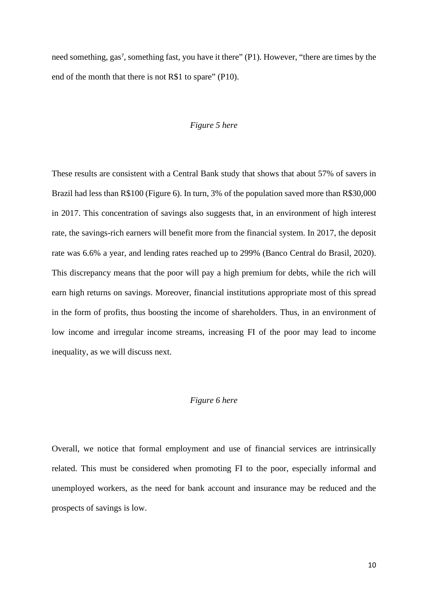need something, gas<sup>7</sup>, something fast, you have it there" (P1). However, "there are times by the end of the month that there is not R\$1 to spare" (P10).

#### *Figure 5 here*

These results are consistent with a Central Bank study that shows that about 57% of savers in Brazil had less than R\$100 (Figure 6). In turn, 3% of the population saved more than R\$30,000 in 2017. This concentration of savings also suggests that, in an environment of high interest rate, the savings-rich earners will benefit more from the financial system. In 2017, the deposit rate was 6.6% a year, and lending rates reached up to 299% (Banco Central do Brasil, 2020). This discrepancy means that the poor will pay a high premium for debts, while the rich will earn high returns on savings. Moreover, financial institutions appropriate most of this spread in the form of profits, thus boosting the income of shareholders. Thus, in an environment of low income and irregular income streams, increasing FI of the poor may lead to income inequality, as we will discuss next.

### *Figure 6 here*

Overall, we notice that formal employment and use of financial services are intrinsically related. This must be considered when promoting FI to the poor, especially informal and unemployed workers, as the need for bank account and insurance may be reduced and the prospects of savings is low.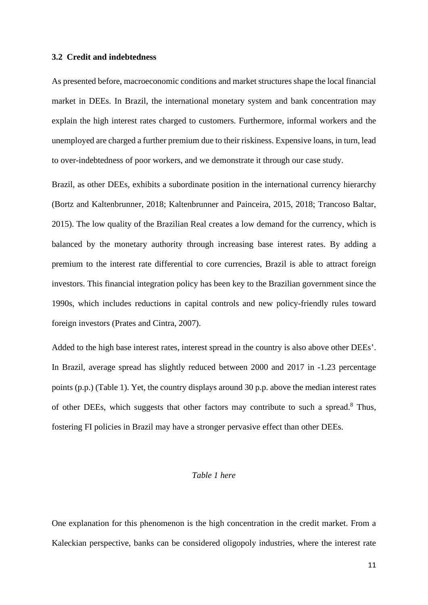#### **3.2 Credit and indebtedness**

As presented before, macroeconomic conditions and market structures shape the local financial market in DEEs. In Brazil, the international monetary system and bank concentration may explain the high interest rates charged to customers. Furthermore, informal workers and the unemployed are charged a further premium due to their riskiness. Expensive loans, in turn, lead to over-indebtedness of poor workers, and we demonstrate it through our case study.

Brazil, as other DEEs, exhibits a subordinate position in the international currency hierarchy (Bortz and Kaltenbrunner, 2018; Kaltenbrunner and Painceira, 2015, 2018; Trancoso Baltar, 2015). The low quality of the Brazilian Real creates a low demand for the currency, which is balanced by the monetary authority through increasing base interest rates. By adding a premium to the interest rate differential to core currencies, Brazil is able to attract foreign investors. This financial integration policy has been key to the Brazilian government since the 1990s, which includes reductions in capital controls and new policy-friendly rules toward foreign investors (Prates and Cintra, 2007).

Added to the high base interest rates, interest spread in the country is also above other DEEs'. In Brazil, average spread has slightly reduced between 2000 and 2017 in -1.23 percentage points (p.p.) (Table 1). Yet, the country displays around 30 p.p. above the median interest rates of other DEEs, which suggests that other factors may contribute to such a spread.<sup>8</sup> Thus, fostering FI policies in Brazil may have a stronger pervasive effect than other DEEs.

#### *Table 1 here*

One explanation for this phenomenon is the high concentration in the credit market. From a Kaleckian perspective, banks can be considered oligopoly industries, where the interest rate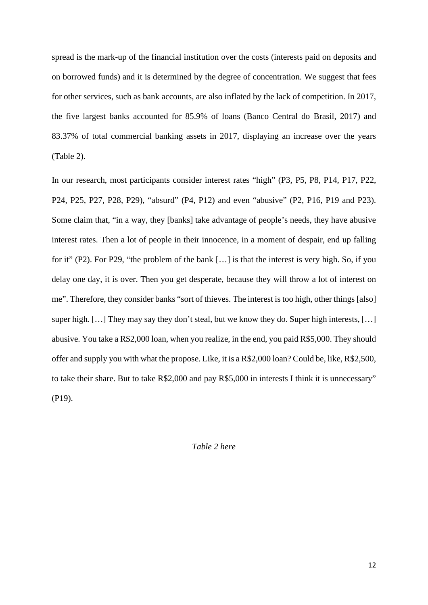spread is the mark-up of the financial institution over the costs (interests paid on deposits and on borrowed funds) and it is determined by the degree of concentration. We suggest that fees for other services, such as bank accounts, are also inflated by the lack of competition. In 2017, the five largest banks accounted for 85.9% of loans (Banco Central do Brasil, 2017) and 83.37% of total commercial banking assets in 2017, displaying an increase over the years (Table 2).

In our research, most participants consider interest rates "high" (P3, P5, P8, P14, P17, P22, P24, P25, P27, P28, P29), "absurd" (P4, P12) and even "abusive" (P2, P16, P19 and P23). Some claim that, "in a way, they [banks] take advantage of people's needs, they have abusive interest rates. Then a lot of people in their innocence, in a moment of despair, end up falling for it" (P2). For P29, "the problem of the bank […] is that the interest is very high. So, if you delay one day, it is over. Then you get desperate, because they will throw a lot of interest on me". Therefore, they consider banks "sort of thieves. The interest is too high, other things [also] super high. […] They may say they don't steal, but we know they do. Super high interests, […] abusive. You take a R\$2,000 loan, when you realize, in the end, you paid R\$5,000. They should offer and supply you with what the propose. Like, it is a R\$2,000 loan? Could be, like, R\$2,500, to take their share. But to take R\$2,000 and pay R\$5,000 in interests I think it is unnecessary" (P19).

*Table 2 here*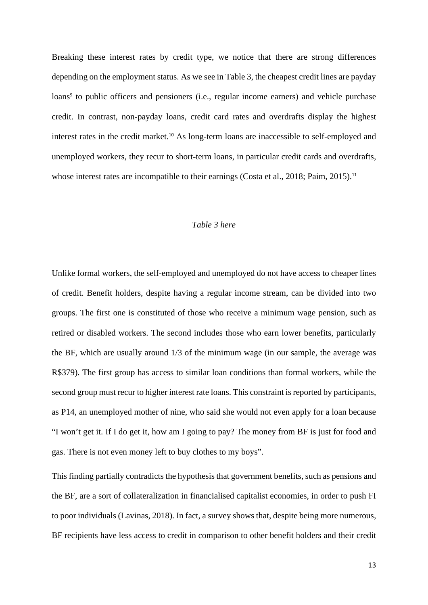Breaking these interest rates by credit type, we notice that there are strong differences depending on the employment status. As we see in Table 3, the cheapest credit lines are payday loans<sup>9</sup> to public officers and pensioners (i.e., regular income earners) and vehicle purchase credit. In contrast, non-payday loans, credit card rates and overdrafts display the highest interest rates in the credit market.<sup>10</sup> As long-term loans are inaccessible to self-employed and unemployed workers, they recur to short-term loans, in particular credit cards and overdrafts, whose interest rates are incompatible to their earnings (Costa et al., 2018; Paim, 2015).<sup>11</sup>

## *Table 3 here*

Unlike formal workers, the self-employed and unemployed do not have access to cheaper lines of credit. Benefit holders, despite having a regular income stream, can be divided into two groups. The first one is constituted of those who receive a minimum wage pension, such as retired or disabled workers. The second includes those who earn lower benefits, particularly the BF, which are usually around 1/3 of the minimum wage (in our sample, the average was R\$379). The first group has access to similar loan conditions than formal workers, while the second group must recur to higher interest rate loans. This constraint is reported by participants, as P14, an unemployed mother of nine, who said she would not even apply for a loan because "I won't get it. If I do get it, how am I going to pay? The money from BF is just for food and gas. There is not even money left to buy clothes to my boys".

This finding partially contradicts the hypothesis that government benefits, such as pensions and the BF, are a sort of collateralization in financialised capitalist economies, in order to push FI to poor individuals (Lavinas, 2018). In fact, a survey shows that, despite being more numerous, BF recipients have less access to credit in comparison to other benefit holders and their credit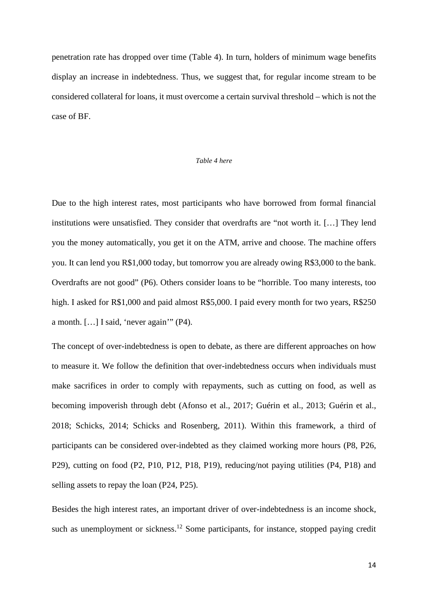penetration rate has dropped over time (Table 4). In turn, holders of minimum wage benefits display an increase in indebtedness. Thus, we suggest that, for regular income stream to be considered collateral for loans, it must overcome a certain survival threshold – which is not the case of BF.

#### *Table 4 here*

Due to the high interest rates, most participants who have borrowed from formal financial institutions were unsatisfied. They consider that overdrafts are "not worth it. […] They lend you the money automatically, you get it on the ATM, arrive and choose. The machine offers you. It can lend you R\$1,000 today, but tomorrow you are already owing R\$3,000 to the bank. Overdrafts are not good" (P6). Others consider loans to be "horrible. Too many interests, too high. I asked for R\$1,000 and paid almost R\$5,000. I paid every month for two years, R\$250 a month. […] I said, 'never again'" (P4).

The concept of over-indebtedness is open to debate, as there are different approaches on how to measure it. We follow the definition that over-indebtedness occurs when individuals must make sacrifices in order to comply with repayments, such as cutting on food, as well as becoming impoverish through debt (Afonso et al., 2017; Guérin et al., 2013; Guérin et al., 2018; Schicks, 2014; Schicks and Rosenberg, 2011). Within this framework, a third of participants can be considered over-indebted as they claimed working more hours (P8, P26, P29), cutting on food (P2, P10, P12, P18, P19), reducing/not paying utilities (P4, P18) and selling assets to repay the loan (P24, P25).

Besides the high interest rates, an important driver of over-indebtedness is an income shock, such as unemployment or sickness.<sup>12</sup> Some participants, for instance, stopped paying credit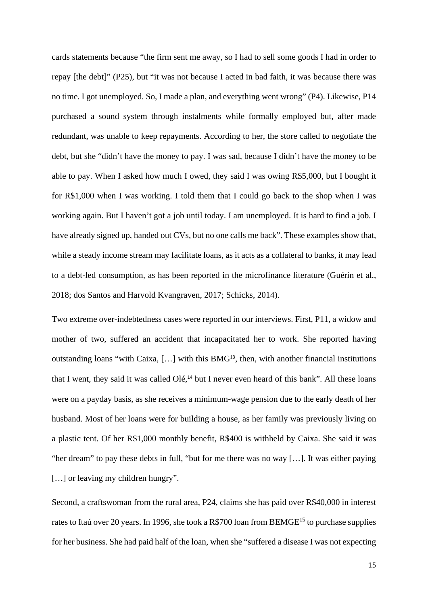cards statements because "the firm sent me away, so I had to sell some goods I had in order to repay [the debt]" (P25), but "it was not because I acted in bad faith, it was because there was no time. I got unemployed. So, I made a plan, and everything went wrong" (P4). Likewise, P14 purchased a sound system through instalments while formally employed but, after made redundant, was unable to keep repayments. According to her, the store called to negotiate the debt, but she "didn't have the money to pay. I was sad, because I didn't have the money to be able to pay. When I asked how much I owed, they said I was owing R\$5,000, but I bought it for R\$1,000 when I was working. I told them that I could go back to the shop when I was working again. But I haven't got a job until today. I am unemployed. It is hard to find a job. I have already signed up, handed out CVs, but no one calls me back". These examples show that, while a steady income stream may facilitate loans, as it acts as a collateral to banks, it may lead to a debt-led consumption, as has been reported in the microfinance literature (Guérin et al., 2018; dos Santos and Harvold Kvangraven, 2017; Schicks, 2014).

Two extreme over-indebtedness cases were reported in our interviews. First, P11, a widow and mother of two, suffered an accident that incapacitated her to work. She reported having outstanding loans "with Caixa, […] with this BMG<sup>13</sup>, then, with another financial institutions that I went, they said it was called Olé,<sup>14</sup> but I never even heard of this bank". All these loans were on a payday basis, as she receives a minimum-wage pension due to the early death of her husband. Most of her loans were for building a house, as her family was previously living on a plastic tent. Of her R\$1,000 monthly benefit, R\$400 is withheld by Caixa. She said it was "her dream" to pay these debts in full, "but for me there was no way […]. It was either paying [...] or leaving my children hungry".

Second, a craftswoman from the rural area, P24, claims she has paid over R\$40,000 in interest rates to Itaú over 20 years. In 1996, she took a R\$700 loan from BEMGE<sup>15</sup> to purchase supplies for her business. She had paid half of the loan, when she "suffered a disease I was not expecting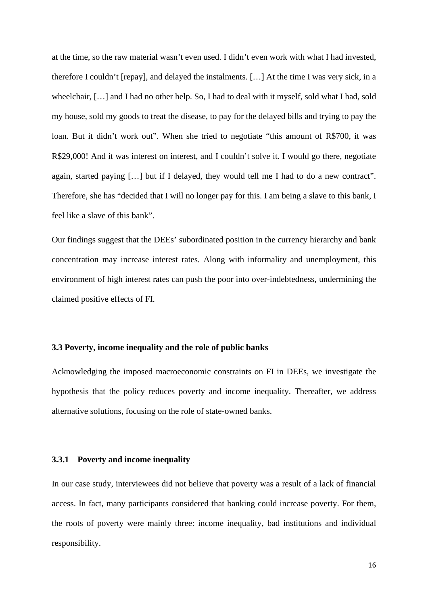at the time, so the raw material wasn't even used. I didn't even work with what I had invested, therefore I couldn't [repay], and delayed the instalments. […] At the time I was very sick, in a wheelchair, […] and I had no other help. So, I had to deal with it myself, sold what I had, sold my house, sold my goods to treat the disease, to pay for the delayed bills and trying to pay the loan. But it didn't work out". When she tried to negotiate "this amount of R\$700, it was R\$29,000! And it was interest on interest, and I couldn't solve it. I would go there, negotiate again, started paying […] but if I delayed, they would tell me I had to do a new contract". Therefore, she has "decided that I will no longer pay for this. I am being a slave to this bank, I feel like a slave of this bank".

Our findings suggest that the DEEs' subordinated position in the currency hierarchy and bank concentration may increase interest rates. Along with informality and unemployment, this environment of high interest rates can push the poor into over-indebtedness, undermining the claimed positive effects of FI.

## **3.3 Poverty, income inequality and the role of public banks**

Acknowledging the imposed macroeconomic constraints on FI in DEEs, we investigate the hypothesis that the policy reduces poverty and income inequality. Thereafter, we address alternative solutions, focusing on the role of state-owned banks.

## **3.3.1 Poverty and income inequality**

In our case study, interviewees did not believe that poverty was a result of a lack of financial access. In fact, many participants considered that banking could increase poverty. For them, the roots of poverty were mainly three: income inequality, bad institutions and individual responsibility.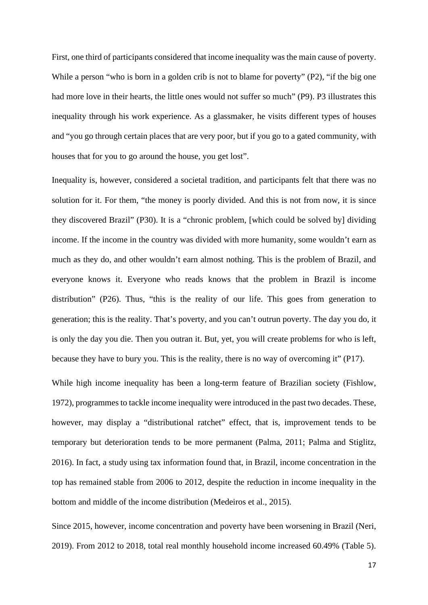First, one third of participants considered that income inequality was the main cause of poverty. While a person "who is born in a golden crib is not to blame for poverty" (P2), "if the big one had more love in their hearts, the little ones would not suffer so much" (P9). P3 illustrates this inequality through his work experience. As a glassmaker, he visits different types of houses and "you go through certain places that are very poor, but if you go to a gated community, with houses that for you to go around the house, you get lost".

Inequality is, however, considered a societal tradition, and participants felt that there was no solution for it. For them, "the money is poorly divided. And this is not from now, it is since they discovered Brazil" (P30). It is a "chronic problem, [which could be solved by] dividing income. If the income in the country was divided with more humanity, some wouldn't earn as much as they do, and other wouldn't earn almost nothing. This is the problem of Brazil, and everyone knows it. Everyone who reads knows that the problem in Brazil is income distribution" (P26). Thus, "this is the reality of our life. This goes from generation to generation; this is the reality. That's poverty, and you can't outrun poverty. The day you do, it is only the day you die. Then you outran it. But, yet, you will create problems for who is left, because they have to bury you. This is the reality, there is no way of overcoming it" (P17).

While high income inequality has been a long-term feature of Brazilian society (Fishlow, 1972), programmes to tackle income inequality were introduced in the past two decades. These, however, may display a "distributional ratchet" effect, that is, improvement tends to be temporary but deterioration tends to be more permanent (Palma, 2011; Palma and Stiglitz, 2016). In fact, a study using tax information found that, in Brazil, income concentration in the top has remained stable from 2006 to 2012, despite the reduction in income inequality in the bottom and middle of the income distribution (Medeiros et al., 2015).

Since 2015, however, income concentration and poverty have been worsening in Brazil (Neri, 2019). From 2012 to 2018, total real monthly household income increased 60.49% (Table 5).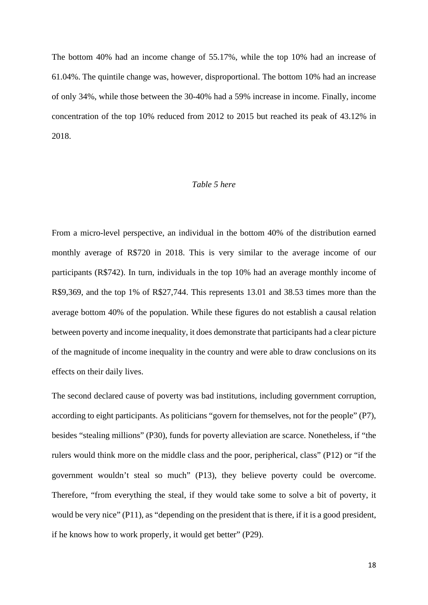The bottom 40% had an income change of 55.17%, while the top 10% had an increase of 61.04%. The quintile change was, however, disproportional. The bottom 10% had an increase of only 34%, while those between the 30-40% had a 59% increase in income. Finally, income concentration of the top 10% reduced from 2012 to 2015 but reached its peak of 43.12% in 2018.

## *Table 5 here*

From a micro-level perspective, an individual in the bottom 40% of the distribution earned monthly average of R\$720 in 2018. This is very similar to the average income of our participants (R\$742). In turn, individuals in the top 10% had an average monthly income of R\$9,369, and the top 1% of R\$27,744. This represents 13.01 and 38.53 times more than the average bottom 40% of the population. While these figures do not establish a causal relation between poverty and income inequality, it does demonstrate that participants had a clear picture of the magnitude of income inequality in the country and were able to draw conclusions on its effects on their daily lives.

The second declared cause of poverty was bad institutions, including government corruption, according to eight participants. As politicians "govern for themselves, not for the people" (P7), besides "stealing millions" (P30), funds for poverty alleviation are scarce. Nonetheless, if "the rulers would think more on the middle class and the poor, peripherical, class" (P12) or "if the government wouldn't steal so much" (P13), they believe poverty could be overcome. Therefore, "from everything the steal, if they would take some to solve a bit of poverty, it would be very nice" (P11), as "depending on the president that is there, if it is a good president, if he knows how to work properly, it would get better" (P29).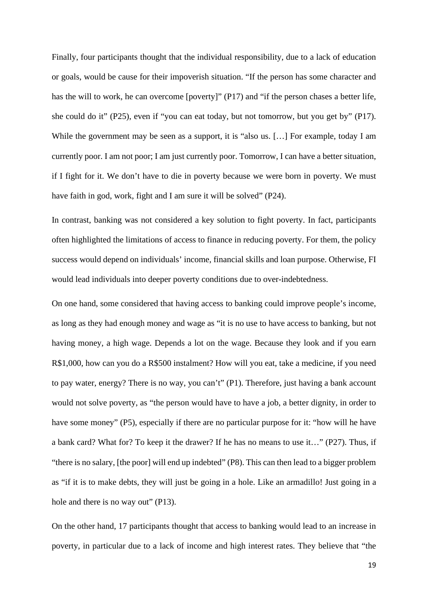Finally, four participants thought that the individual responsibility, due to a lack of education or goals, would be cause for their impoverish situation. "If the person has some character and has the will to work, he can overcome [poverty]" (P17) and "if the person chases a better life, she could do it" (P25), even if "you can eat today, but not tomorrow, but you get by" (P17). While the government may be seen as a support, it is "also us. […] For example, today I am currently poor. I am not poor; I am just currently poor. Tomorrow, I can have a better situation, if I fight for it. We don't have to die in poverty because we were born in poverty. We must have faith in god, work, fight and I am sure it will be solved" (P24).

In contrast, banking was not considered a key solution to fight poverty. In fact, participants often highlighted the limitations of access to finance in reducing poverty. For them, the policy success would depend on individuals' income, financial skills and loan purpose. Otherwise, FI would lead individuals into deeper poverty conditions due to over-indebtedness.

On one hand, some considered that having access to banking could improve people's income, as long as they had enough money and wage as "it is no use to have access to banking, but not having money, a high wage. Depends a lot on the wage. Because they look and if you earn R\$1,000, how can you do a R\$500 instalment? How will you eat, take a medicine, if you need to pay water, energy? There is no way, you can't" (P1). Therefore, just having a bank account would not solve poverty, as "the person would have to have a job, a better dignity, in order to have some money" (P5), especially if there are no particular purpose for it: "how will he have a bank card? What for? To keep it the drawer? If he has no means to use it…" (P27). Thus, if "there is no salary, [the poor] will end up indebted" (P8). This can then lead to a bigger problem as "if it is to make debts, they will just be going in a hole. Like an armadillo! Just going in a hole and there is no way out" (P13).

On the other hand, 17 participants thought that access to banking would lead to an increase in poverty, in particular due to a lack of income and high interest rates. They believe that "the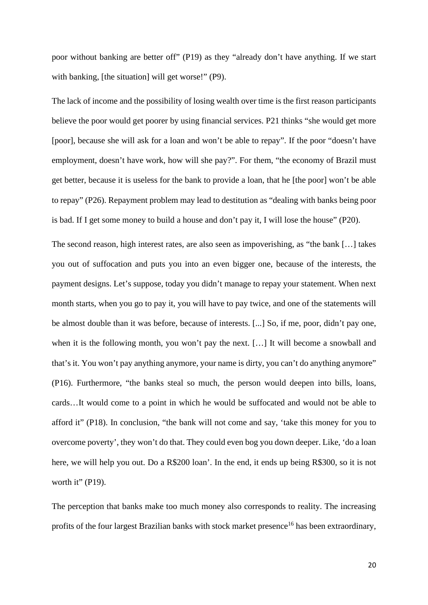poor without banking are better off" (P19) as they "already don't have anything. If we start with banking, [the situation] will get worse!" (P9).

The lack of income and the possibility of losing wealth over time is the first reason participants believe the poor would get poorer by using financial services. P21 thinks "she would get more [poor], because she will ask for a loan and won't be able to repay". If the poor "doesn't have employment, doesn't have work, how will she pay?". For them, "the economy of Brazil must get better, because it is useless for the bank to provide a loan, that he [the poor] won't be able to repay" (P26). Repayment problem may lead to destitution as "dealing with banks being poor is bad. If I get some money to build a house and don't pay it, I will lose the house" (P20).

The second reason, high interest rates, are also seen as impoverishing, as "the bank […] takes you out of suffocation and puts you into an even bigger one, because of the interests, the payment designs. Let's suppose, today you didn't manage to repay your statement. When next month starts, when you go to pay it, you will have to pay twice, and one of the statements will be almost double than it was before, because of interests. [...] So, if me, poor, didn't pay one, when it is the following month, you won't pay the next. […] It will become a snowball and that's it. You won't pay anything anymore, your name is dirty, you can't do anything anymore" (P16). Furthermore, "the banks steal so much, the person would deepen into bills, loans, cards…It would come to a point in which he would be suffocated and would not be able to afford it" (P18). In conclusion, "the bank will not come and say, 'take this money for you to overcome poverty', they won't do that. They could even bog you down deeper. Like, 'do a loan here, we will help you out. Do a R\$200 loan'. In the end, it ends up being R\$300, so it is not worth it"  $(P19)$ .

The perception that banks make too much money also corresponds to reality. The increasing profits of the four largest Brazilian banks with stock market presence<sup>16</sup> has been extraordinary,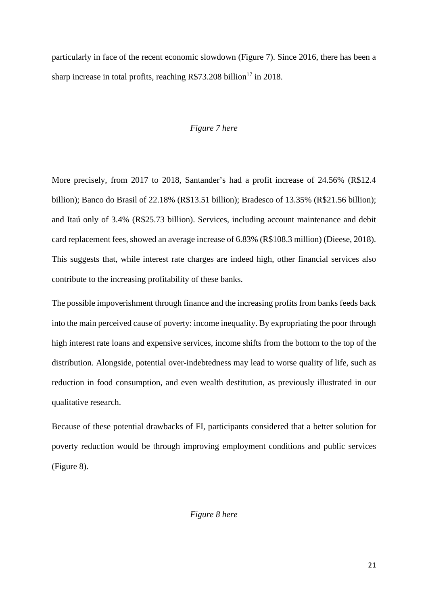particularly in face of the recent economic slowdown (Figure 7). Since 2016, there has been a sharp increase in total profits, reaching  $R$73.208 billion<sup>17</sup>$  in 2018.

#### *Figure 7 here*

More precisely, from 2017 to 2018, Santander's had a profit increase of 24.56% (R\$12.4 billion); Banco do Brasil of 22.18% (R\$13.51 billion); Bradesco of 13.35% (R\$21.56 billion); and Itaú only of 3.4% (R\$25.73 billion). Services, including account maintenance and debit card replacement fees, showed an average increase of 6.83% (R\$108.3 million) (Dieese, 2018). This suggests that, while interest rate charges are indeed high, other financial services also contribute to the increasing profitability of these banks.

The possible impoverishment through finance and the increasing profits from banks feeds back into the main perceived cause of poverty: income inequality. By expropriating the poor through high interest rate loans and expensive services, income shifts from the bottom to the top of the distribution. Alongside, potential over-indebtedness may lead to worse quality of life, such as reduction in food consumption, and even wealth destitution, as previously illustrated in our qualitative research.

Because of these potential drawbacks of FI, participants considered that a better solution for poverty reduction would be through improving employment conditions and public services (Figure 8).

## *Figure 8 here*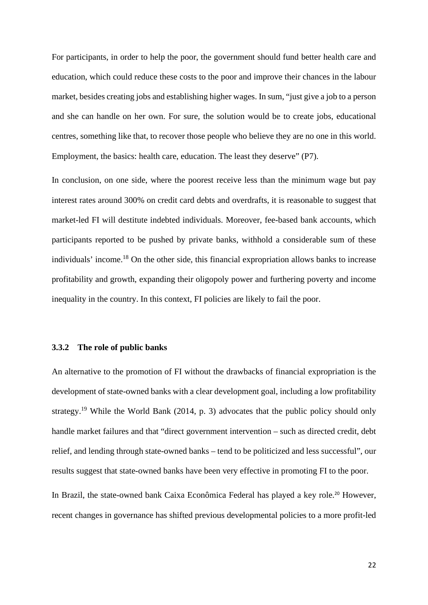For participants, in order to help the poor, the government should fund better health care and education, which could reduce these costs to the poor and improve their chances in the labour market, besides creating jobs and establishing higher wages. In sum, "just give a job to a person and she can handle on her own. For sure, the solution would be to create jobs, educational centres, something like that, to recover those people who believe they are no one in this world. Employment, the basics: health care, education. The least they deserve" (P7).

In conclusion, on one side, where the poorest receive less than the minimum wage but pay interest rates around 300% on credit card debts and overdrafts, it is reasonable to suggest that market-led FI will destitute indebted individuals. Moreover, fee-based bank accounts, which participants reported to be pushed by private banks, withhold a considerable sum of these individuals' income.<sup>18</sup> On the other side, this financial expropriation allows banks to increase profitability and growth, expanding their oligopoly power and furthering poverty and income inequality in the country. In this context, FI policies are likely to fail the poor.

#### **3.3.2 The role of public banks**

An alternative to the promotion of FI without the drawbacks of financial expropriation is the development of state-owned banks with a clear development goal, including a low profitability strategy.<sup>19</sup> While the World Bank (2014, p. 3) advocates that the public policy should only handle market failures and that "direct government intervention – such as directed credit, debt relief, and lending through state-owned banks – tend to be politicized and less successful", our results suggest that state-owned banks have been very effective in promoting FI to the poor.

In Brazil, the state-owned bank Caixa Econômica Federal has played a key role. <sup>20</sup> However, recent changes in governance has shifted previous developmental policies to a more profit-led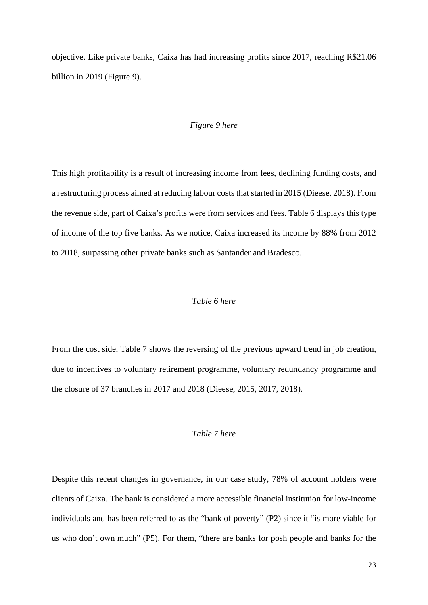objective. Like private banks, Caixa has had increasing profits since 2017, reaching R\$21.06 billion in 2019 (Figure 9).

#### *Figure 9 here*

This high profitability is a result of increasing income from fees, declining funding costs, and a restructuring process aimed at reducing labour costs that started in 2015 (Dieese, 2018). From the revenue side, part of Caixa's profits were from services and fees. Table 6 displays this type of income of the top five banks. As we notice, Caixa increased its income by 88% from 2012 to 2018, surpassing other private banks such as Santander and Bradesco.

#### *Table 6 here*

From the cost side, Table 7 shows the reversing of the previous upward trend in job creation, due to incentives to voluntary retirement programme, voluntary redundancy programme and the closure of 37 branches in 2017 and 2018 (Dieese, 2015, 2017, 2018).

## *Table 7 here*

Despite this recent changes in governance, in our case study, 78% of account holders were clients of Caixa. The bank is considered a more accessible financial institution for low-income individuals and has been referred to as the "bank of poverty" (P2) since it "is more viable for us who don't own much" (P5). For them, "there are banks for posh people and banks for the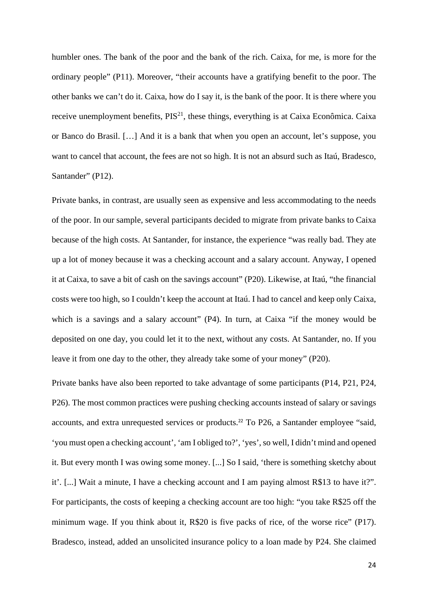humbler ones. The bank of the poor and the bank of the rich. Caixa, for me, is more for the ordinary people" (P11). Moreover, "their accounts have a gratifying benefit to the poor. The other banks we can't do it. Caixa, how do I say it, is the bank of the poor. It is there where you receive unemployment benefits,  $PIS^{21}$ , these things, everything is at Caixa Econômica. Caixa or Banco do Brasil. […] And it is a bank that when you open an account, let's suppose, you want to cancel that account, the fees are not so high. It is not an absurd such as Itaú, Bradesco, Santander" (P12).

Private banks, in contrast, are usually seen as expensive and less accommodating to the needs of the poor. In our sample, several participants decided to migrate from private banks to Caixa because of the high costs. At Santander, for instance, the experience "was really bad. They ate up a lot of money because it was a checking account and a salary account. Anyway, I opened it at Caixa, to save a bit of cash on the savings account" (P20). Likewise, at Itaú, "the financial costs were too high, so I couldn't keep the account at Itaú. I had to cancel and keep only Caixa, which is a savings and a salary account" (P4). In turn, at Caixa "if the money would be deposited on one day, you could let it to the next, without any costs. At Santander, no. If you leave it from one day to the other, they already take some of your money" (P20).

Private banks have also been reported to take advantage of some participants (P14, P21, P24, P26). The most common practices were pushing checking accounts instead of salary or savings accounts, and extra unrequested services or products.<sup>22</sup> To P26, a Santander employee "said, 'you must open a checking account', 'am I obliged to?', 'yes', so well, I didn't mind and opened it. But every month I was owing some money. [...] So I said, 'there is something sketchy about it'. [...] Wait a minute, I have a checking account and I am paying almost R\$13 to have it?". For participants, the costs of keeping a checking account are too high: "you take R\$25 off the minimum wage. If you think about it, R\$20 is five packs of rice, of the worse rice" (P17). Bradesco, instead, added an unsolicited insurance policy to a loan made by P24. She claimed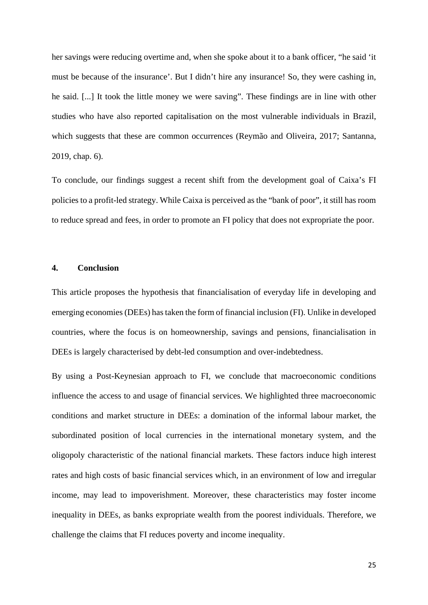her savings were reducing overtime and, when she spoke about it to a bank officer, "he said 'it must be because of the insurance'. But I didn't hire any insurance! So, they were cashing in, he said. [...] It took the little money we were saving". These findings are in line with other studies who have also reported capitalisation on the most vulnerable individuals in Brazil, which suggests that these are common occurrences (Reymão and Oliveira, 2017; Santanna, 2019, chap. 6).

To conclude, our findings suggest a recent shift from the development goal of Caixa's FI policies to a profit-led strategy. While Caixa is perceived as the "bank of poor", it still has room to reduce spread and fees, in order to promote an FI policy that does not expropriate the poor.

#### **4. Conclusion**

This article proposes the hypothesis that financialisation of everyday life in developing and emerging economies (DEEs) has taken the form of financial inclusion (FI). Unlike in developed countries, where the focus is on homeownership, savings and pensions, financialisation in DEEs is largely characterised by debt-led consumption and over-indebtedness.

By using a Post-Keynesian approach to FI, we conclude that macroeconomic conditions influence the access to and usage of financial services. We highlighted three macroeconomic conditions and market structure in DEEs: a domination of the informal labour market, the subordinated position of local currencies in the international monetary system, and the oligopoly characteristic of the national financial markets. These factors induce high interest rates and high costs of basic financial services which, in an environment of low and irregular income, may lead to impoverishment. Moreover, these characteristics may foster income inequality in DEEs, as banks expropriate wealth from the poorest individuals. Therefore, we challenge the claims that FI reduces poverty and income inequality.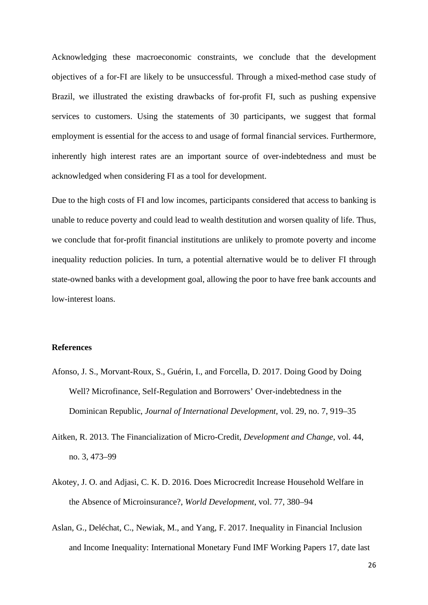Acknowledging these macroeconomic constraints, we conclude that the development objectives of a for-FI are likely to be unsuccessful. Through a mixed-method case study of Brazil, we illustrated the existing drawbacks of for-profit FI, such as pushing expensive services to customers. Using the statements of 30 participants, we suggest that formal employment is essential for the access to and usage of formal financial services. Furthermore, inherently high interest rates are an important source of over-indebtedness and must be acknowledged when considering FI as a tool for development.

Due to the high costs of FI and low incomes, participants considered that access to banking is unable to reduce poverty and could lead to wealth destitution and worsen quality of life. Thus, we conclude that for-profit financial institutions are unlikely to promote poverty and income inequality reduction policies. In turn, a potential alternative would be to deliver FI through state-owned banks with a development goal, allowing the poor to have free bank accounts and low-interest loans.

#### **References**

- Afonso, J. S., Morvant-Roux, S., Guérin, I., and Forcella, D. 2017. Doing Good by Doing Well? Microfinance, Self-Regulation and Borrowers' Over-indebtedness in the Dominican Republic, *Journal of International Development*, vol. 29, no. 7, 919–35
- Aitken, R. 2013. The Financialization of Micro-Credit, *Development and Change*, vol. 44, no. 3, 473–99
- Akotey, J. O. and Adjasi, C. K. D. 2016. Does Microcredit Increase Household Welfare in the Absence of Microinsurance?, *World Development*, vol. 77, 380–94
- Aslan, G., Deléchat, C., Newiak, M., and Yang, F. 2017. Inequality in Financial Inclusion and Income Inequality: International Monetary Fund IMF Working Papers 17, date last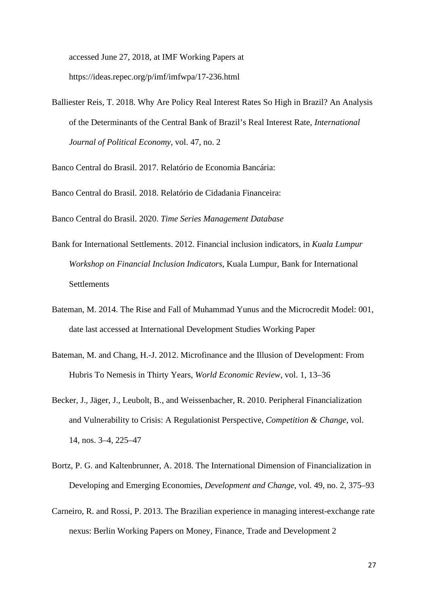accessed June 27, 2018, at IMF Working Papers at https://ideas.repec.org/p/imf/imfwpa/17-236.html

Balliester Reis, T. 2018. Why Are Policy Real Interest Rates So High in Brazil? An Analysis of the Determinants of the Central Bank of Brazil's Real Interest Rate, *International Journal of Political Economy*, vol. 47, no. 2

Banco Central do Brasil. 2017. Relatório de Economia Bancária:

Banco Central do Brasil. 2018. Relatório de Cidadania Financeira:

Banco Central do Brasil. 2020. *Time Series Management Database*

- Bank for International Settlements. 2012. Financial inclusion indicators, in *Kuala Lumpur Workshop on Financial Inclusion Indicators*, Kuala Lumpur, Bank for International **Settlements**
- Bateman, M. 2014. The Rise and Fall of Muhammad Yunus and the Microcredit Model: 001, date last accessed at International Development Studies Working Paper
- Bateman, M. and Chang, H.-J. 2012. Microfinance and the Illusion of Development: From Hubris To Nemesis in Thirty Years, *World Economic Review*, vol. 1, 13–36
- Becker, J., Jäger, J., Leubolt, B., and Weissenbacher, R. 2010. Peripheral Financialization and Vulnerability to Crisis: A Regulationist Perspective, *Competition & Change*, vol. 14, nos. 3–4, 225–47
- Bortz, P. G. and Kaltenbrunner, A. 2018. The International Dimension of Financialization in Developing and Emerging Economies, *Development and Change*, vol. 49, no. 2, 375–93
- Carneiro, R. and Rossi, P. 2013. The Brazilian experience in managing interest-exchange rate nexus: Berlin Working Papers on Money, Finance, Trade and Development 2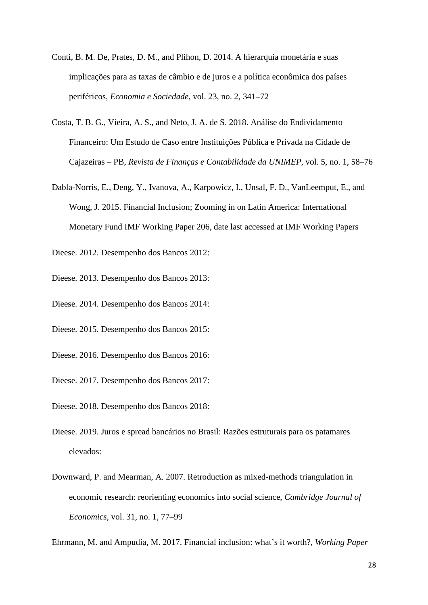- Conti, B. M. De, Prates, D. M., and Plihon, D. 2014. A hierarquia monetária e suas implicações para as taxas de câmbio e de juros e a política econômica dos países periféricos, *Economia e Sociedade*, vol. 23, no. 2, 341–72
- Costa, T. B. G., Vieira, A. S., and Neto, J. A. de S. 2018. Análise do Endividamento Financeiro: Um Estudo de Caso entre Instituições Pública e Privada na Cidade de Cajazeiras – PB, *Revista de Finanças e Contabilidade da UNIMEP*, vol. 5, no. 1, 58–76
- Dabla-Norris, E., Deng, Y., Ivanova, A., Karpowicz, I., Unsal, F. D., VanLeemput, E., and Wong, J. 2015. Financial Inclusion; Zooming in on Latin America: International Monetary Fund IMF Working Paper 206, date last accessed at IMF Working Papers
- Dieese. 2012. Desempenho dos Bancos 2012:
- Dieese. 2013. Desempenho dos Bancos 2013:
- Dieese. 2014. Desempenho dos Bancos 2014:
- Dieese. 2015. Desempenho dos Bancos 2015:
- Dieese. 2016. Desempenho dos Bancos 2016:
- Dieese. 2017. Desempenho dos Bancos 2017:
- Dieese. 2018. Desempenho dos Bancos 2018:
- Dieese. 2019. Juros e spread bancários no Brasil: Razões estruturais para os patamares elevados:
- Downward, P. and Mearman, A. 2007. Retroduction as mixed-methods triangulation in economic research: reorienting economics into social science, *Cambridge Journal of Economics*, vol. 31, no. 1, 77–99

Ehrmann, M. and Ampudia, M. 2017. Financial inclusion: what's it worth?, *Working Paper*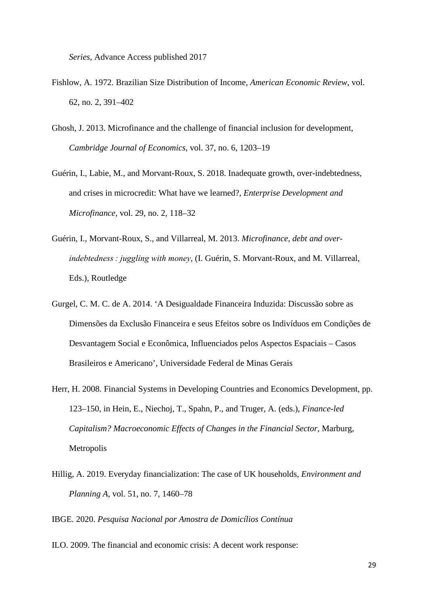*Series*, Advance Access published 2017

- Fishlow, A. 1972. Brazilian Size Distribution of Income, *American Economic Review*, vol. 62, no. 2, 391–402
- Ghosh, J. 2013. Microfinance and the challenge of financial inclusion for development, *Cambridge Journal of Economics*, vol. 37, no. 6, 1203–19
- Guérin, I., Labie, M., and Morvant-Roux, S. 2018. Inadequate growth, over-indebtedness, and crises in microcredit: What have we learned?, *Enterprise Development and Microfinance*, vol. 29, no. 2, 118–32
- Guérin, I., Morvant-Roux, S., and Villarreal, M. 2013. *Microfinance, debt and overindebtedness : juggling with money*, (I. Guérin, S. Morvant-Roux, and M. Villarreal, Eds.), Routledge
- Gurgel, C. M. C. de A. 2014. 'A Desigualdade Financeira Induzida: Discussão sobre as Dimensões da Exclusão Financeira e seus Efeitos sobre os Indivíduos em Condições de Desvantagem Social e Econômica, Influenciados pelos Aspectos Espaciais – Casos Brasileiros e Americano', Universidade Federal de Minas Gerais
- Herr, H. 2008. Financial Systems in Developing Countries and Economics Development, pp. 123–150, in Hein, E., Niechoj, T., Spahn, P., and Truger, A. (eds.), *Finance-led Capitalism? Macroeconomic Effects of Changes in the Financial Sector*, Marburg, Metropolis
- Hillig, A. 2019. Everyday financialization: The case of UK households, *Environment and Planning A*, vol. 51, no. 7, 1460–78

IBGE. 2020. *Pesquisa Nacional por Amostra de Domicílios Contínua*

ILO. 2009. The financial and economic crisis: A decent work response: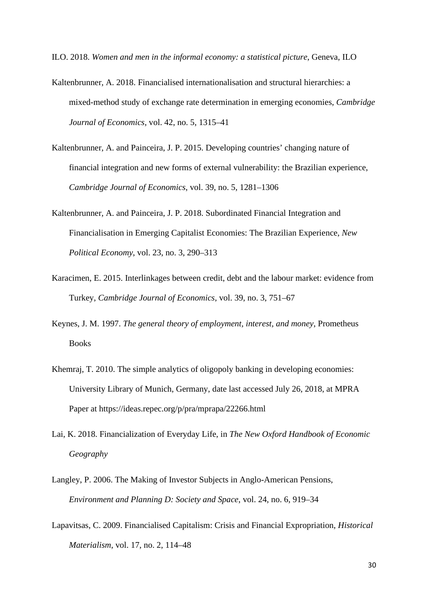ILO. 2018. *Women and men in the informal economy: a statistical picture*, Geneva, ILO

- Kaltenbrunner, A. 2018. Financialised internationalisation and structural hierarchies: a mixed-method study of exchange rate determination in emerging economies, *Cambridge Journal of Economics*, vol. 42, no. 5, 1315–41
- Kaltenbrunner, A. and Painceira, J. P. 2015. Developing countries' changing nature of financial integration and new forms of external vulnerability: the Brazilian experience, *Cambridge Journal of Economics*, vol. 39, no. 5, 1281–1306
- Kaltenbrunner, A. and Painceira, J. P. 2018. Subordinated Financial Integration and Financialisation in Emerging Capitalist Economies: The Brazilian Experience, *New Political Economy*, vol. 23, no. 3, 290–313
- Karacimen, E. 2015. Interlinkages between credit, debt and the labour market: evidence from Turkey, *Cambridge Journal of Economics*, vol. 39, no. 3, 751–67
- Keynes, J. M. 1997. *The general theory of employment, interest, and money*, Prometheus **Books**
- Khemraj, T. 2010. The simple analytics of oligopoly banking in developing economies: University Library of Munich, Germany, date last accessed July 26, 2018, at MPRA Paper at https://ideas.repec.org/p/pra/mprapa/22266.html
- Lai, K. 2018. Financialization of Everyday Life, in *The New Oxford Handbook of Economic Geography*
- Langley, P. 2006. The Making of Investor Subjects in Anglo-American Pensions, *Environment and Planning D: Society and Space*, vol. 24, no. 6, 919–34
- Lapavitsas, C. 2009. Financialised Capitalism: Crisis and Financial Expropriation, *Historical Materialism*, vol. 17, no. 2, 114–48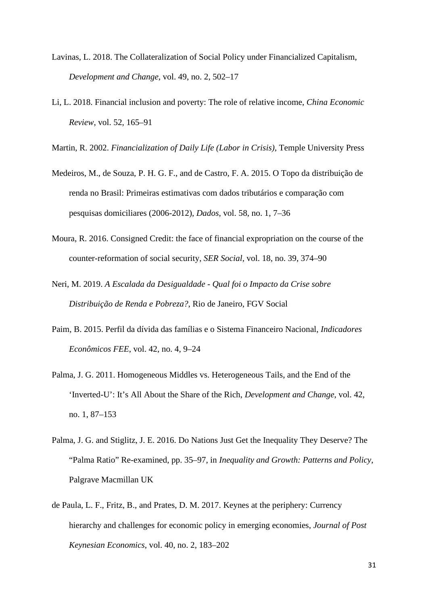- Lavinas, L. 2018. The Collateralization of Social Policy under Financialized Capitalism, *Development and Change*, vol. 49, no. 2, 502–17
- Li, L. 2018. Financial inclusion and poverty: The role of relative income, *China Economic Review*, vol. 52, 165–91
- Martin, R. 2002. *Financialization of Daily Life (Labor in Crisis)*, Temple University Press
- Medeiros, M., de Souza, P. H. G. F., and de Castro, F. A. 2015. O Topo da distribuição de renda no Brasil: Primeiras estimativas com dados tributários e comparação com pesquisas domiciliares (2006-2012), *Dados*, vol. 58, no. 1, 7–36
- Moura, R. 2016. Consigned Credit: the face of financial expropriation on the course of the counter-reformation of social security, *SER Social*, vol. 18, no. 39, 374–90
- Neri, M. 2019. *A Escalada da Desigualdade - Qual foi o Impacto da Crise sobre Distribuição de Renda e Pobreza?*, Rio de Janeiro, FGV Social
- Paim, B. 2015. Perfil da dívida das famílias e o Sistema Financeiro Nacional, *Indicadores Econômicos FEE*, vol. 42, no. 4, 9–24
- Palma, J. G. 2011. Homogeneous Middles vs. Heterogeneous Tails, and the End of the 'Inverted-U': It's All About the Share of the Rich, *Development and Change*, vol. 42, no. 1, 87–153
- Palma, J. G. and Stiglitz, J. E. 2016. Do Nations Just Get the Inequality They Deserve? The "Palma Ratio" Re-examined, pp. 35–97, in *Inequality and Growth: Patterns and Policy*, Palgrave Macmillan UK
- de Paula, L. F., Fritz, B., and Prates, D. M. 2017. Keynes at the periphery: Currency hierarchy and challenges for economic policy in emerging economies, *Journal of Post Keynesian Economics*, vol. 40, no. 2, 183–202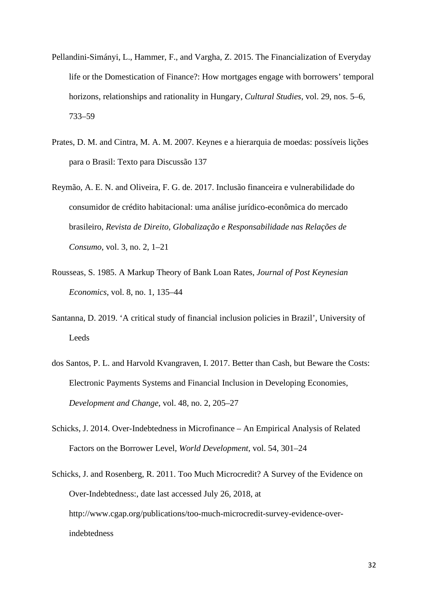- Pellandini-Simányi, L., Hammer, F., and Vargha, Z. 2015. The Financialization of Everyday life or the Domestication of Finance?: How mortgages engage with borrowers' temporal horizons, relationships and rationality in Hungary, *Cultural Studies*, vol. 29, nos. 5–6, 733–59
- Prates, D. M. and Cintra, M. A. M. 2007. Keynes e a hierarquia de moedas: possíveis lições para o Brasil: Texto para Discussão 137
- Reymão, A. E. N. and Oliveira, F. G. de. 2017. Inclusão financeira e vulnerabilidade do consumidor de crédito habitacional: uma análise jurídico-econômica do mercado brasileiro, *Revista de Direito, Globalização e Responsabilidade nas Relações de Consumo*, vol. 3, no. 2, 1–21
- Rousseas, S. 1985. A Markup Theory of Bank Loan Rates, *Journal of Post Keynesian Economics*, vol. 8, no. 1, 135–44
- Santanna, D. 2019. 'A critical study of financial inclusion policies in Brazil', University of Leeds
- dos Santos, P. L. and Harvold Kvangraven, I. 2017. Better than Cash, but Beware the Costs: Electronic Payments Systems and Financial Inclusion in Developing Economies, *Development and Change*, vol. 48, no. 2, 205–27
- Schicks, J. 2014. Over-Indebtedness in Microfinance An Empirical Analysis of Related Factors on the Borrower Level, *World Development*, vol. 54, 301–24
- Schicks, J. and Rosenberg, R. 2011. Too Much Microcredit? A Survey of the Evidence on Over-Indebtedness:, date last accessed July 26, 2018, at http://www.cgap.org/publications/too-much-microcredit-survey-evidence-overindebtedness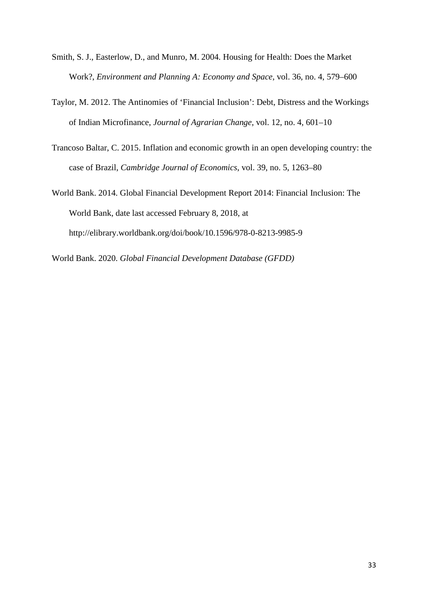- Smith, S. J., Easterlow, D., and Munro, M. 2004. Housing for Health: Does the Market Work?, *Environment and Planning A: Economy and Space*, vol. 36, no. 4, 579–600
- Taylor, M. 2012. The Antinomies of 'Financial Inclusion': Debt, Distress and the Workings of Indian Microfinance, *Journal of Agrarian Change*, vol. 12, no. 4, 601–10
- Trancoso Baltar, C. 2015. Inflation and economic growth in an open developing country: the case of Brazil, *Cambridge Journal of Economics*, vol. 39, no. 5, 1263–80
- World Bank. 2014. Global Financial Development Report 2014: Financial Inclusion: The World Bank, date last accessed February 8, 2018, at http://elibrary.worldbank.org/doi/book/10.1596/978-0-8213-9985-9

World Bank. 2020. *Global Financial Development Database (GFDD)*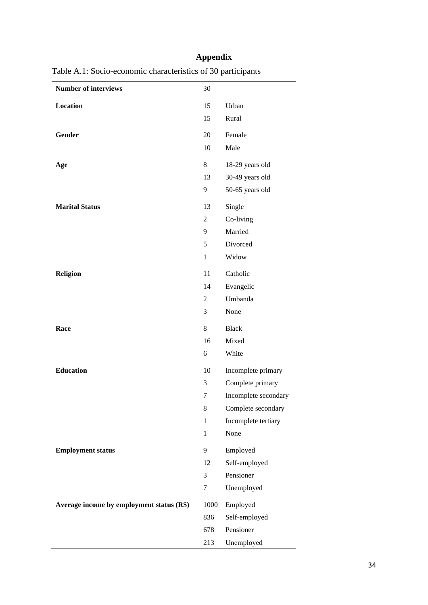# **Appendix**

| <b>Number of interviews</b>               | 30             |                      |
|-------------------------------------------|----------------|----------------------|
| <b>Location</b>                           | 15             | Urban                |
|                                           | 15             | Rural                |
| Gender                                    | 20             | Female               |
|                                           | 10             | Male                 |
|                                           |                |                      |
| Age                                       | 8              | 18-29 years old      |
|                                           | 13             | 30-49 years old      |
|                                           | 9              | 50-65 years old      |
| <b>Marital Status</b>                     | 13             | Single               |
|                                           | $\overline{2}$ | Co-living            |
|                                           | 9              | Married              |
|                                           | 5              | Divorced             |
|                                           | $\mathbf{1}$   | Widow                |
| <b>Religion</b>                           | 11             | Catholic             |
|                                           | 14             | Evangelic            |
|                                           | 2              | Umbanda              |
|                                           | 3              | None                 |
| Race                                      | 8              | <b>Black</b>         |
|                                           | 16             | Mixed                |
|                                           | 6              | White                |
| <b>Education</b>                          | 10             | Incomplete primary   |
|                                           | 3              | Complete primary     |
|                                           | 7              | Incomplete secondary |
|                                           | $8\,$          | Complete secondary   |
|                                           | $\mathbf{1}$   | Incomplete tertiary  |
|                                           | $\mathbf{1}$   | None                 |
|                                           |                |                      |
| <b>Employment status</b>                  | 9              | Employed             |
|                                           | 12             | Self-employed        |
|                                           | 3              | Pensioner            |
|                                           | 7              | Unemployed           |
| Average income by employment status (R\$) | 1000           | Employed             |
|                                           | 836            | Self-employed        |
|                                           | 678            | Pensioner            |
|                                           | 213            | Unemployed           |

Table A.1: Socio-economic characteristics of 30 participants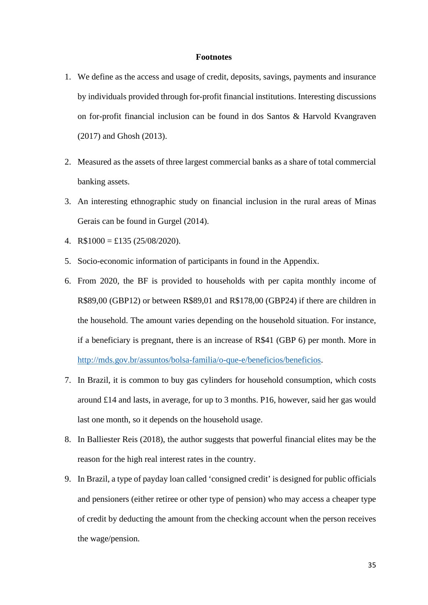#### **Footnotes**

- 1. We define as the access and usage of credit, deposits, savings, payments and insurance by individuals provided through for-profit financial institutions. Interesting discussions on for-profit financial inclusion can be found in dos Santos & Harvold Kvangraven (2017) and Ghosh (2013).
- 2. Measured as the assets of three largest commercial banks as a share of total commercial banking assets.
- 3. An interesting ethnographic study on financial inclusion in the rural areas of Minas Gerais can be found in Gurgel (2014).
- 4. R\$1000 = £135 (25/08/2020).
- 5. Socio-economic information of participants in found in the Appendix.
- 6. From 2020, the BF is provided to households with per capita monthly income of R\$89,00 (GBP12) or between R\$89,01 and R\$178,00 (GBP24) if there are children in the household. The amount varies depending on the household situation. For instance, if a beneficiary is pregnant, there is an increase of R\$41 (GBP 6) per month. More in [http://mds.gov.br/assuntos/bolsa-familia/o-que-e/beneficios/beneficios.](http://mds.gov.br/assuntos/bolsa-familia/o-que-e/beneficios/beneficios)
- 7. In Brazil, it is common to buy gas cylinders for household consumption, which costs around £14 and lasts, in average, for up to 3 months. P16, however, said her gas would last one month, so it depends on the household usage.
- 8. In Balliester Reis (2018), the author suggests that powerful financial elites may be the reason for the high real interest rates in the country.
- 9. In Brazil, a type of payday loan called 'consigned credit' is designed for public officials and pensioners (either retiree or other type of pension) who may access a cheaper type of credit by deducting the amount from the checking account when the person receives the wage/pension.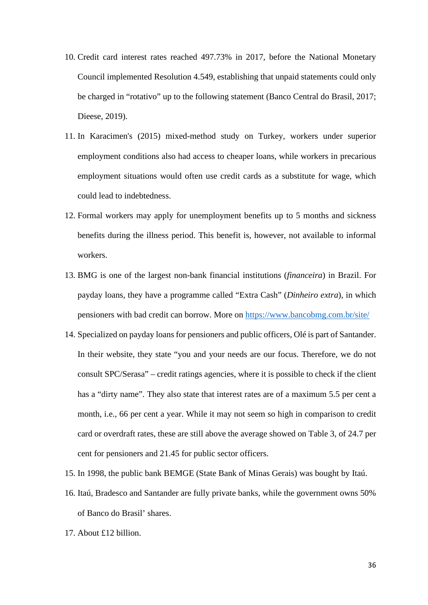- 10. Credit card interest rates reached 497.73% in 2017, before the National Monetary Council implemented Resolution 4.549, establishing that unpaid statements could only be charged in "rotativo" up to the following statement (Banco Central do Brasil, 2017; Dieese, 2019).
- 11. In Karacimen's (2015) mixed-method study on Turkey, workers under superior employment conditions also had access to cheaper loans, while workers in precarious employment situations would often use credit cards as a substitute for wage, which could lead to indebtedness.
- 12. Formal workers may apply for unemployment benefits up to 5 months and sickness benefits during the illness period. This benefit is, however, not available to informal workers.
- 13. BMG is one of the largest non-bank financial institutions (*financeira*) in Brazil. For payday loans, they have a programme called "Extra Cash" (*Dinheiro extra*), in which pensioners with bad credit can borrow. More on<https://www.bancobmg.com.br/site/>
- 14. Specialized on payday loans for pensioners and public officers, Olé is part of Santander. In their website, they state "you and your needs are our focus. Therefore, we do not consult SPC/Serasa" – credit ratings agencies, where it is possible to check if the client has a "dirty name". They also state that interest rates are of a maximum 5.5 per cent a month, i.e., 66 per cent a year. While it may not seem so high in comparison to credit card or overdraft rates, these are still above the average showed on Table 3, of 24.7 per cent for pensioners and 21.45 for public sector officers.
- 15. In 1998, the public bank BEMGE (State Bank of Minas Gerais) was bought by Itaú.
- 16. Itaú, Bradesco and Santander are fully private banks, while the government owns 50% of Banco do Brasil' shares.
- 17. About £12 billion.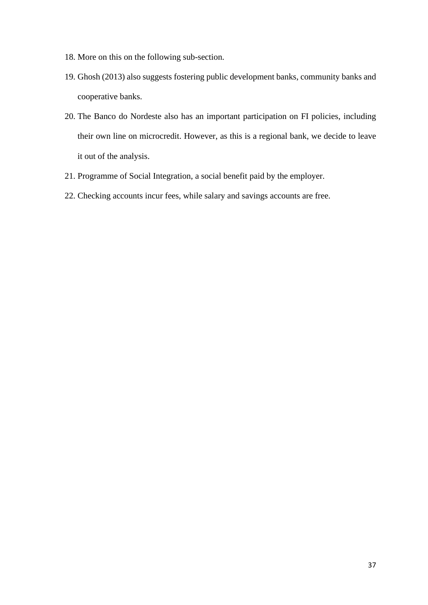- 18. More on this on the following sub-section.
- 19. Ghosh (2013) also suggests fostering public development banks, community banks and cooperative banks.
- 20. The Banco do Nordeste also has an important participation on FI policies, including their own line on microcredit. However, as this is a regional bank, we decide to leave it out of the analysis.
- 21. Programme of Social Integration, a social benefit paid by the employer.
- 22. Checking accounts incur fees, while salary and savings accounts are free.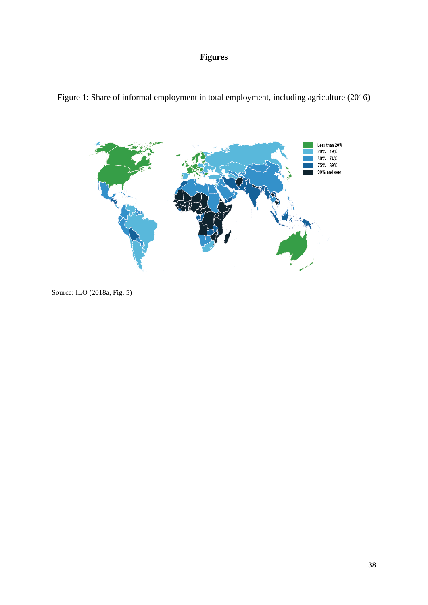## **Figures**





Source: ILO (2018a, Fig. 5)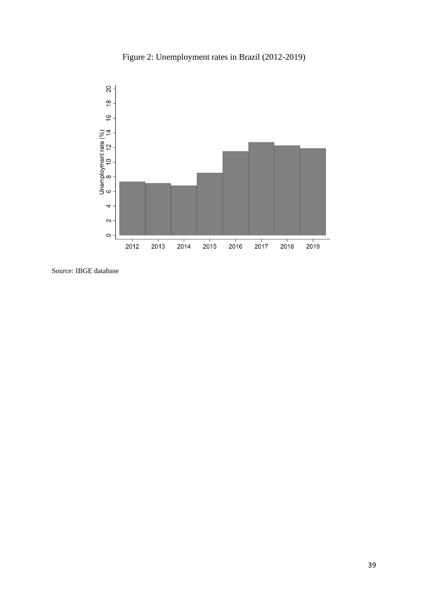



Source: IBGE database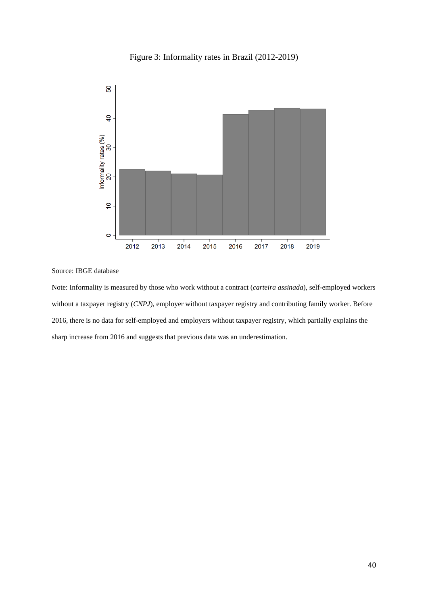



Source: IBGE database

Note: Informality is measured by those who work without a contract (*carteira assinada*), self-employed workers without a taxpayer registry (*CNPJ*), employer without taxpayer registry and contributing family worker. Before 2016, there is no data for self-employed and employers without taxpayer registry, which partially explains the sharp increase from 2016 and suggests that previous data was an underestimation.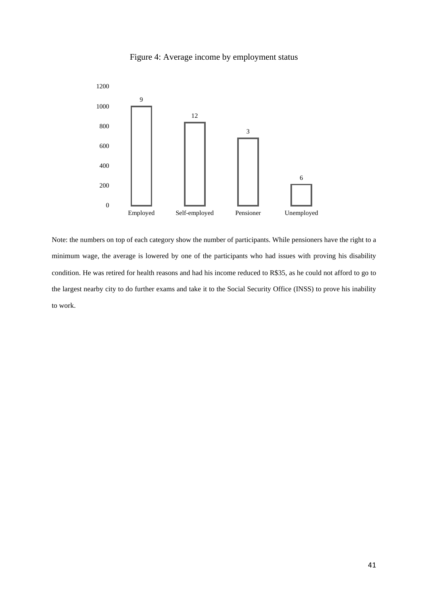



Note: the numbers on top of each category show the number of participants. While pensioners have the right to a minimum wage, the average is lowered by one of the participants who had issues with proving his disability condition. He was retired for health reasons and had his income reduced to R\$35, as he could not afford to go to the largest nearby city to do further exams and take it to the Social Security Office (INSS) to prove his inability to work.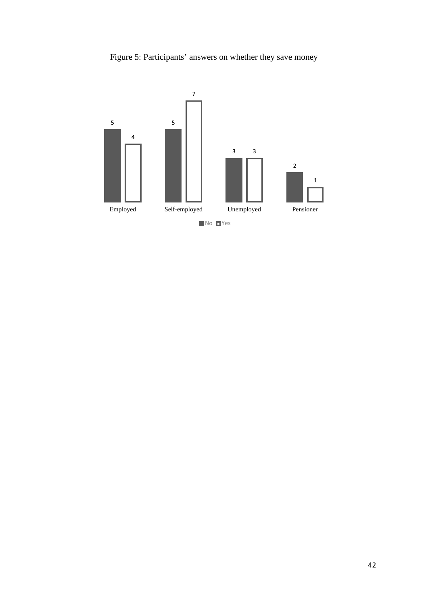Figure 5: Participants' answers on whether they save money

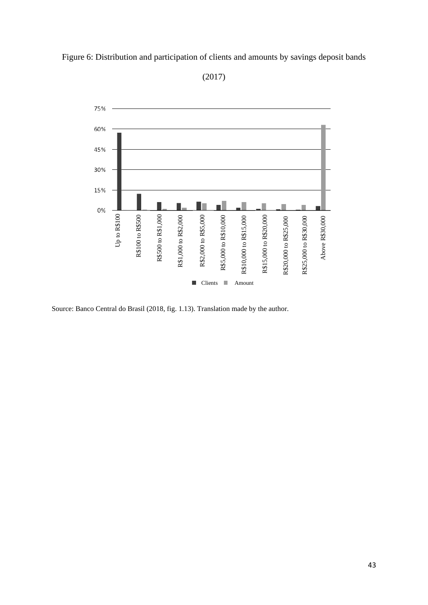

Figure 6: Distribution and participation of clients and amounts by savings deposit bands

(2017)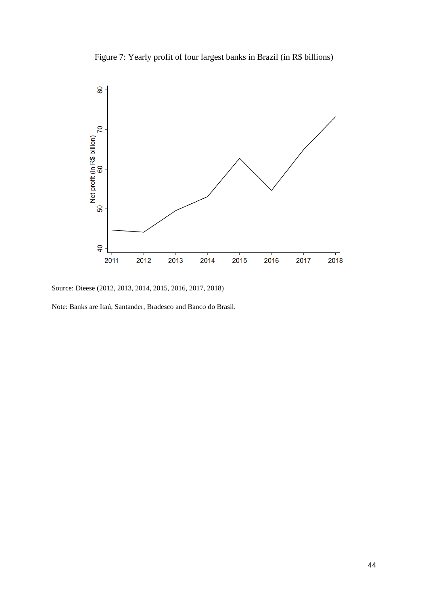Figure 7: Yearly profit of four largest banks in Brazil (in R\$ billions)



Source: Dieese (2012, 2013, 2014, 2015, 2016, 2017, 2018)

Note: Banks are Itaú, Santander, Bradesco and Banco do Brasil.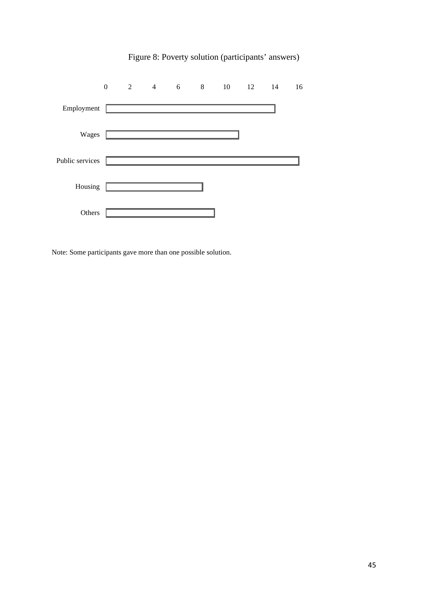|                 | $\theta$ | 2 4 6 8 10 12 14                                                                                                    |  |  | 16 |
|-----------------|----------|---------------------------------------------------------------------------------------------------------------------|--|--|----|
| Employment      |          |                                                                                                                     |  |  |    |
| Wages           |          | <u> 1990 - Johann John Store, markin samti samti samti samti samti samti samti samti samti samti samti samti sa</u> |  |  |    |
| Public services |          |                                                                                                                     |  |  |    |
| Housing         |          |                                                                                                                     |  |  |    |
| Others          |          |                                                                                                                     |  |  |    |

# Figure 8: Poverty solution (participants' answers)

Note: Some participants gave more than one possible solution.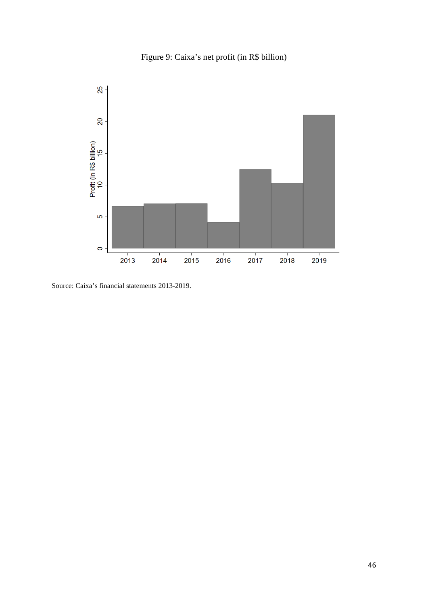



Source: Caixa's financial statements 2013-2019.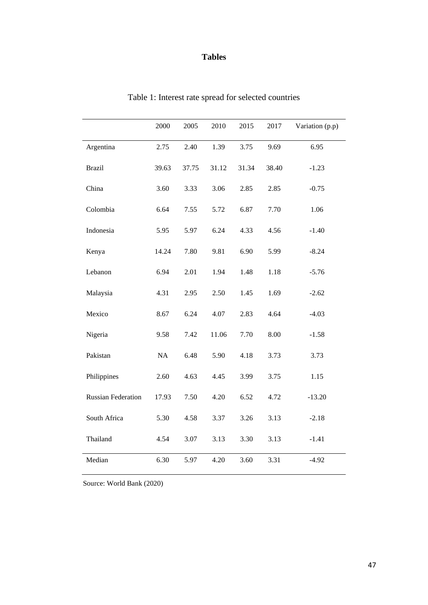## **Tables**

|                           | 2000     | 2005  | 2010  | 2015  | 2017  | Variation (p.p) |
|---------------------------|----------|-------|-------|-------|-------|-----------------|
| Argentina                 | 2.75     | 2.40  | 1.39  | 3.75  | 9.69  | 6.95            |
| <b>Brazil</b>             | 39.63    | 37.75 | 31.12 | 31.34 | 38.40 | $-1.23$         |
| China                     | 3.60     | 3.33  | 3.06  | 2.85  | 2.85  | $-0.75$         |
| Colombia                  | 6.64     | 7.55  | 5.72  | 6.87  | 7.70  | 1.06            |
| Indonesia                 | 5.95     | 5.97  | 6.24  | 4.33  | 4.56  | $-1.40$         |
| Kenya                     | 14.24    | 7.80  | 9.81  | 6.90  | 5.99  | $-8.24$         |
| Lebanon                   | 6.94     | 2.01  | 1.94  | 1.48  | 1.18  | $-5.76$         |
| Malaysia                  | 4.31     | 2.95  | 2.50  | 1.45  | 1.69  | $-2.62$         |
| Mexico                    | 8.67     | 6.24  | 4.07  | 2.83  | 4.64  | $-4.03$         |
| Nigeria                   | 9.58     | 7.42  | 11.06 | 7.70  | 8.00  | $-1.58$         |
| Pakistan                  | $\rm NA$ | 6.48  | 5.90  | 4.18  | 3.73  | 3.73            |
| Philippines               | 2.60     | 4.63  | 4.45  | 3.99  | 3.75  | 1.15            |
| <b>Russian Federation</b> | 17.93    | 7.50  | 4.20  | 6.52  | 4.72  | $-13.20$        |
| South Africa              | 5.30     | 4.58  | 3.37  | 3.26  | 3.13  | $-2.18$         |
| Thailand                  | 4.54     | 3.07  | 3.13  | 3.30  | 3.13  | $-1.41$         |
| Median                    | 6.30     | 5.97  | 4.20  | 3.60  | 3.31  | $-4.92$         |

Table 1: Interest rate spread for selected countries

Source: World Bank (2020)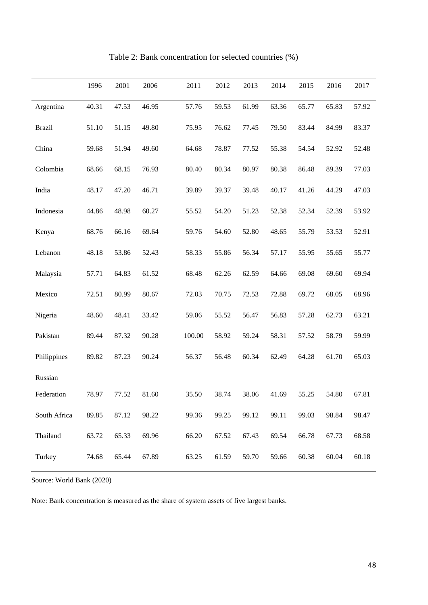|               | 1996  | 2001  | 2006  | 2011   | 2012  | 2013  | 2014  | 2015  | 2016  | 2017  |
|---------------|-------|-------|-------|--------|-------|-------|-------|-------|-------|-------|
| Argentina     | 40.31 | 47.53 | 46.95 | 57.76  | 59.53 | 61.99 | 63.36 | 65.77 | 65.83 | 57.92 |
| <b>Brazil</b> | 51.10 | 51.15 | 49.80 | 75.95  | 76.62 | 77.45 | 79.50 | 83.44 | 84.99 | 83.37 |
| China         | 59.68 | 51.94 | 49.60 | 64.68  | 78.87 | 77.52 | 55.38 | 54.54 | 52.92 | 52.48 |
| Colombia      | 68.66 | 68.15 | 76.93 | 80.40  | 80.34 | 80.97 | 80.38 | 86.48 | 89.39 | 77.03 |
| India         | 48.17 | 47.20 | 46.71 | 39.89  | 39.37 | 39.48 | 40.17 | 41.26 | 44.29 | 47.03 |
| Indonesia     | 44.86 | 48.98 | 60.27 | 55.52  | 54.20 | 51.23 | 52.38 | 52.34 | 52.39 | 53.92 |
| Kenya         | 68.76 | 66.16 | 69.64 | 59.76  | 54.60 | 52.80 | 48.65 | 55.79 | 53.53 | 52.91 |
| Lebanon       | 48.18 | 53.86 | 52.43 | 58.33  | 55.86 | 56.34 | 57.17 | 55.95 | 55.65 | 55.77 |
| Malaysia      | 57.71 | 64.83 | 61.52 | 68.48  | 62.26 | 62.59 | 64.66 | 69.08 | 69.60 | 69.94 |
| Mexico        | 72.51 | 80.99 | 80.67 | 72.03  | 70.75 | 72.53 | 72.88 | 69.72 | 68.05 | 68.96 |
| Nigeria       | 48.60 | 48.41 | 33.42 | 59.06  | 55.52 | 56.47 | 56.83 | 57.28 | 62.73 | 63.21 |
| Pakistan      | 89.44 | 87.32 | 90.28 | 100.00 | 58.92 | 59.24 | 58.31 | 57.52 | 58.79 | 59.99 |
| Philippines   | 89.82 | 87.23 | 90.24 | 56.37  | 56.48 | 60.34 | 62.49 | 64.28 | 61.70 | 65.03 |
| Russian       |       |       |       |        |       |       |       |       |       |       |
| Federation    | 78.97 | 77.52 | 81.60 | 35.50  | 38.74 | 38.06 | 41.69 | 55.25 | 54.80 | 67.81 |
| South Africa  | 89.85 | 87.12 | 98.22 | 99.36  | 99.25 | 99.12 | 99.11 | 99.03 | 98.84 | 98.47 |
| Thailand      | 63.72 | 65.33 | 69.96 | 66.20  | 67.52 | 67.43 | 69.54 | 66.78 | 67.73 | 68.58 |
| Turkey        | 74.68 | 65.44 | 67.89 | 63.25  | 61.59 | 59.70 | 59.66 | 60.38 | 60.04 | 60.18 |

Table 2: Bank concentration for selected countries (%)

Source: World Bank (2020)

Note: Bank concentration is measured as the share of system assets of five largest banks.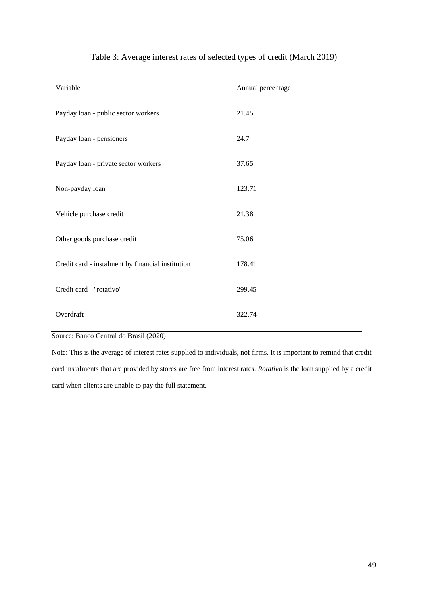| Variable                                          | Annual percentage |
|---------------------------------------------------|-------------------|
| Payday loan - public sector workers               | 21.45             |
| Payday loan - pensioners                          | 24.7              |
| Payday loan - private sector workers              | 37.65             |
| Non-payday loan                                   | 123.71            |
| Vehicle purchase credit                           | 21.38             |
| Other goods purchase credit                       | 75.06             |
| Credit card - instalment by financial institution | 178.41            |
| Credit card - "rotativo"                          | 299.45            |
| Overdraft                                         | 322.74            |

## Table 3: Average interest rates of selected types of credit (March 2019)

Source: Banco Central do Brasil (2020)

Note: This is the average of interest rates supplied to individuals, not firms. It is important to remind that credit card instalments that are provided by stores are free from interest rates. *Rotativo* is the loan supplied by a credit card when clients are unable to pay the full statement.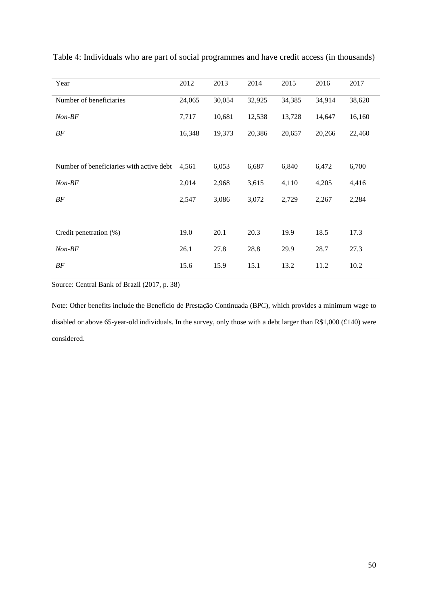| Year                                     | 2012   | 2013   | 2014   | 2015   | 2016   | 2017   |
|------------------------------------------|--------|--------|--------|--------|--------|--------|
| Number of beneficiaries                  | 24,065 | 30,054 | 32,925 | 34,385 | 34,914 | 38,620 |
| $Non-BF$                                 | 7,717  | 10,681 | 12,538 | 13,728 | 14,647 | 16,160 |
| $BF$                                     | 16,348 | 19,373 | 20,386 | 20,657 | 20,266 | 22,460 |
|                                          |        |        |        |        |        |        |
| Number of beneficiaries with active debt | 4,561  | 6,053  | 6,687  | 6,840  | 6,472  | 6,700  |
| $Non-BF$                                 | 2,014  | 2,968  | 3,615  | 4,110  | 4,205  | 4,416  |
| BF                                       | 2,547  | 3,086  | 3,072  | 2,729  | 2,267  | 2,284  |
|                                          |        |        |        |        |        |        |
| Credit penetration (%)                   | 19.0   | 20.1   | 20.3   | 19.9   | 18.5   | 17.3   |
| $Non-BF$                                 | 26.1   | 27.8   | 28.8   | 29.9   | 28.7   | 27.3   |
| $BF$                                     | 15.6   | 15.9   | 15.1   | 13.2   | 11.2   | 10.2   |
|                                          |        |        |        |        |        |        |

Table 4: Individuals who are part of social programmes and have credit access (in thousands)

Source: Central Bank of Brazil (2017, p. 38)

Note: Other benefits include the Benefício de Prestação Continuada (BPC), which provides a minimum wage to disabled or above 65-year-old individuals. In the survey, only those with a debt larger than R\$1,000 (£140) were considered.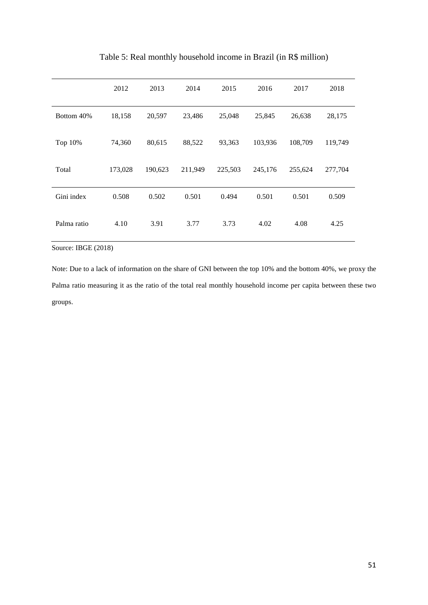|             | 2012    | 2013    | 2014    | 2015    | 2016    | 2017    | 2018    |
|-------------|---------|---------|---------|---------|---------|---------|---------|
| Bottom 40%  | 18,158  | 20,597  | 23,486  | 25,048  | 25,845  | 26,638  | 28,175  |
| Top 10%     | 74,360  | 80,615  | 88,522  | 93,363  | 103,936 | 108,709 | 119,749 |
| Total       | 173,028 | 190,623 | 211,949 | 225,503 | 245,176 | 255,624 | 277,704 |
| Gini index  | 0.508   | 0.502   | 0.501   | 0.494   | 0.501   | 0.501   | 0.509   |
| Palma ratio | 4.10    | 3.91    | 3.77    | 3.73    | 4.02    | 4.08    | 4.25    |

Table 5: Real monthly household income in Brazil (in R\$ million)

Source: IBGE (2018)

Note: Due to a lack of information on the share of GNI between the top 10% and the bottom 40%, we proxy the Palma ratio measuring it as the ratio of the total real monthly household income per capita between these two groups.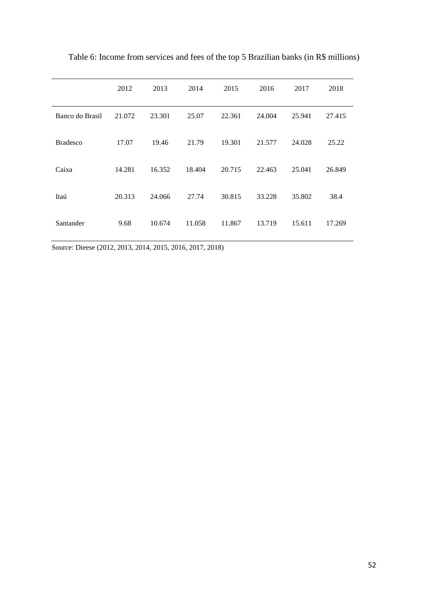|                 | 2012   | 2013   | 2014   | 2015   | 2016   | 2017   | 2018   |
|-----------------|--------|--------|--------|--------|--------|--------|--------|
| Banco do Brasil | 21.072 | 23.301 | 25.07  | 22.361 | 24.004 | 25.941 | 27.415 |
| <b>Bradesco</b> | 17.07  | 19.46  | 21.79  | 19.301 | 21.577 | 24.028 | 25.22  |
| Caixa           | 14.281 | 16.352 | 18.404 | 20.715 | 22.463 | 25.041 | 26.849 |
| Itaú            | 20.313 | 24.066 | 27.74  | 30.815 | 33.228 | 35.802 | 38.4   |
| Santander       | 9.68   | 10.674 | 11.058 | 11.867 | 13.719 | 15.611 | 17.269 |

Table 6: Income from services and fees of the top 5 Brazilian banks (in R\$ millions)

Source: Dieese (2012, 2013, 2014, 2015, 2016, 2017, 2018)